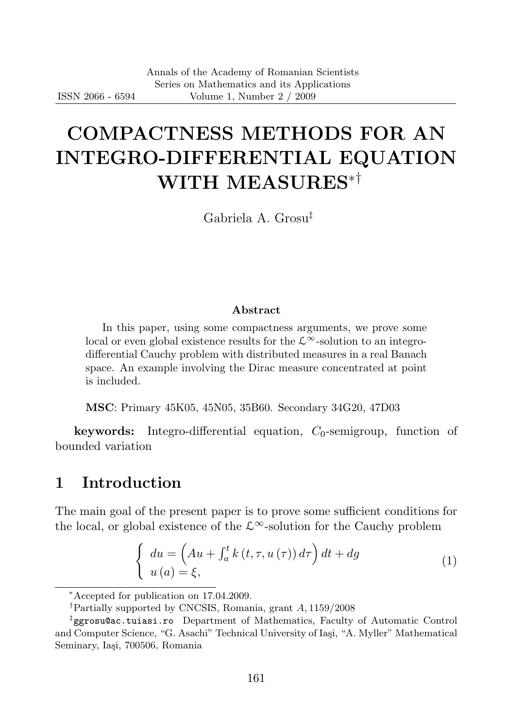# COMPACTNESS METHODS FOR AN INTEGRO-DIFFERENTIAL EQUATION WITH MEASURES∗†

Gabriela A. Grosu‡

#### Abstract

In this paper, using some compactness arguments, we prove some local or even global existence results for the  $\mathcal{L}^{\infty}$ -solution to an integrodifferential Cauchy problem with distributed measures in a real Banach space. An example involving the Dirac measure concentrated at point is included.

MSC: Primary 45K05, 45N05, 35B60. Secondary 34G20, 47D03

**keywords:** Integro-differential equation,  $C_0$ -semigroup, function of bounded variation

### 1 Introduction

The main goal of the present paper is to prove some sufficient conditions for the local, or global existence of the  $\mathcal{L}^{\infty}$ -solution for the Cauchy problem

$$
\begin{cases}\n du = \left( Au + \int_{a}^{t} k(t, \tau, u(\tau)) d\tau \right) dt + dg \\
 u(a) = \xi,\n\end{cases}
$$
\n(1)

<sup>∗</sup>Accepted for publication on 17.04.2009.

<sup>†</sup>Partially supported by CNCSIS, Romania, grant A, 1159/2008

<sup>‡</sup> ggrosu@ac.tuiasi.ro Department of Mathematics, Faculty of Automatic Control and Computer Science, "G. Asachi" Technical University of Iasi, "A. Myller" Mathematical Seminary, Iași, 700506, Romania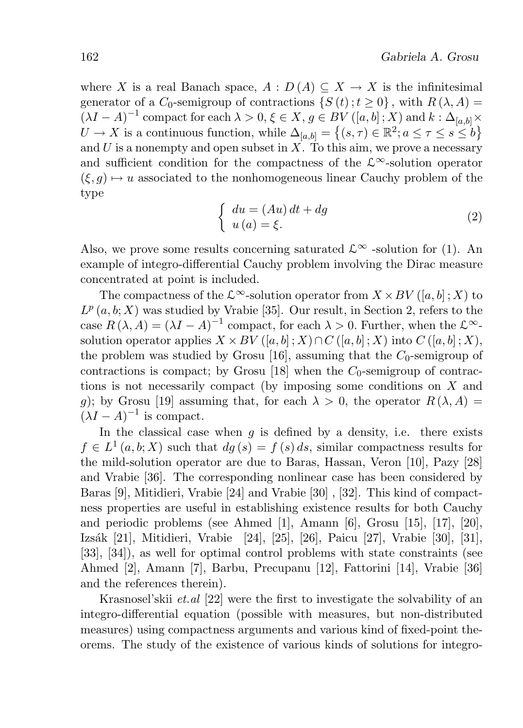where X is a real Banach space,  $A: D(A) \subseteq X \to X$  is the infinitesimal generator of a  $C_0$ -semigroup of contractions  $\{S(t); t \geq 0\}$ , with  $R(\lambda, A) =$  $(\lambda I - A)^{-1}$  compact for each  $\lambda > 0, \xi \in X, g \in BV([a, b]; X)$  and  $k : \Delta_{[a, b]} \times$  $U \to X$  is a continuous function, while  $\Delta_{[a,b]} = \left\{ (s,\tau) \in \mathbb{R}^2; a \leq \tau \leq s \leq b \right\}$ and U is a nonempty and open subset in  $X$ . To this aim, we prove a necessary and sufficient condition for the compactness of the  $\mathcal{L}^{\infty}$ -solution operator  $(\xi, q) \mapsto u$  associated to the nonhomogeneous linear Cauchy problem of the type

$$
\begin{cases}\n du = (Au) dt + dg \\
 u(a) = \xi.\n\end{cases}
$$
\n(2)

Also, we prove some results concerning saturated  $\mathcal{L}^{\infty}$  -solution for (1). An example of integro-differential Cauchy problem involving the Dirac measure concentrated at point is included.

The compactness of the  $\mathcal{L}^{\infty}$ -solution operator from  $X \times BV([a, b]; X)$  to  $L^p(a, b; X)$  was studied by Vrabie [35]. Our result, in Section 2, refers to the case  $R(\lambda, A) = (\lambda I - A)^{-1}$  compact, for each  $\lambda > 0$ . Further, when the  $\mathcal{L}^{\infty}$ solution operator applies  $X \times BV([a, b] : X) \cap C([a, b] : X)$  into  $C([a, b] : X)$ , the problem was studied by Grosu [16], assuming that the  $C_0$ -semigroup of contractions is compact; by Grosu [18] when the  $C_0$ -semigroup of contractions is not necessarily compact (by imposing some conditions on X and g); by Grosu [19] assuming that, for each  $\lambda > 0$ , the operator  $R(\lambda, A) =$  $(\lambda I - A)^{-1}$  is compact.

In the classical case when  $q$  is defined by a density, i.e. there exists  $f \in L^1(a, b; X)$  such that  $dg(s) = f(s) ds$ , similar compactness results for the mild-solution operator are due to Baras, Hassan, Veron [10], Pazy [28] and Vrabie [36]. The corresponding nonlinear case has been considered by Baras [9], Mitidieri, Vrabie [24] and Vrabie [30] , [32]. This kind of compactness properties are useful in establishing existence results for both Cauchy and periodic problems (see Ahmed [1], Amann [6], Grosu [15], [17], [20], Izsák [21], Mitidieri, Vrabie [24], [25], [26], Paicu [27], Vrabie [30], [31], [33], [34]), as well for optimal control problems with state constraints (see Ahmed [2], Amann [7], Barbu, Precupanu [12], Fattorini [14], Vrabie [36] and the references therein).

Krasnosel'skii *et.al* [22] were the first to investigate the solvability of an integro-differential equation (possible with measures, but non-distributed measures) using compactness arguments and various kind of fixed-point theorems. The study of the existence of various kinds of solutions for integro-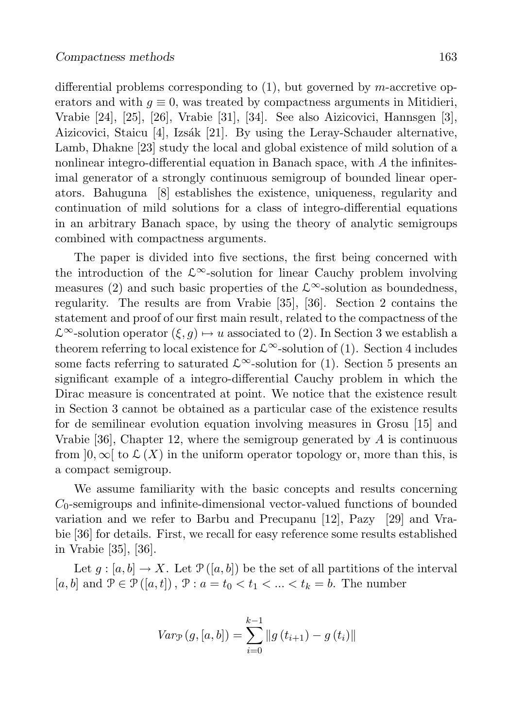differential problems corresponding to  $(1)$ , but governed by m-accretive operators and with  $g \equiv 0$ , was treated by compactness arguments in Mitidieri, Vrabie [24], [25], [26], Vrabie [31], [34]. See also Aizicovici, Hannsgen [3], Aizicovici, Staicu [4], Izsák [21]. By using the Leray-Schauder alternative, Lamb, Dhakne [23] study the local and global existence of mild solution of a nonlinear integro-differential equation in Banach space, with  $A$  the infinitesimal generator of a strongly continuous semigroup of bounded linear operators. Bahuguna [8] establishes the existence, uniqueness, regularity and continuation of mild solutions for a class of integro-differential equations in an arbitrary Banach space, by using the theory of analytic semigroups combined with compactness arguments.

The paper is divided into five sections, the first being concerned with the introduction of the  $\mathcal{L}^{\infty}$ -solution for linear Cauchy problem involving measures (2) and such basic properties of the  $\mathcal{L}^{\infty}$ -solution as boundedness, regularity. The results are from Vrabie [35], [36]. Section 2 contains the statement and proof of our first main result, related to the compactness of the  $\mathcal{L}^{\infty}$ -solution operator  $(\xi, g) \mapsto u$  associated to (2). In Section 3 we establish a theorem referring to local existence for  $\mathcal{L}^{\infty}$ -solution of (1). Section 4 includes some facts referring to saturated  $\mathcal{L}^{\infty}$ -solution for (1). Section 5 presents an significant example of a integro-differential Cauchy problem in which the Dirac measure is concentrated at point. We notice that the existence result in Section 3 cannot be obtained as a particular case of the existence results for de semilinear evolution equation involving measures in Grosu [15] and Vrabie  $[36]$ , Chapter 12, where the semigroup generated by A is continuous from  $]0,\infty[$  to  $\mathcal{L}(X)$  in the uniform operator topology or, more than this, is a compact semigroup.

We assume familiarity with the basic concepts and results concerning  $C_0$ -semigroups and infinite-dimensional vector-valued functions of bounded variation and we refer to Barbu and Precupanu [12], Pazy [29] and Vrabie [36] for details. First, we recall for easy reference some results established in Vrabie [35], [36].

Let  $g : [a, b] \to X$ . Let  $\mathcal{P}([a, b])$  be the set of all partitions of the interval [a, b] and  $\mathcal{P} \in \mathcal{P}([a, t])$ ,  $\mathcal{P} : a = t_0 < t_1 < \ldots < t_k = b$ . The number

$$
Var_{\mathcal{P}}(g, [a, b]) = \sum_{i=0}^{k-1} ||g(t_{i+1}) - g(t_i)||
$$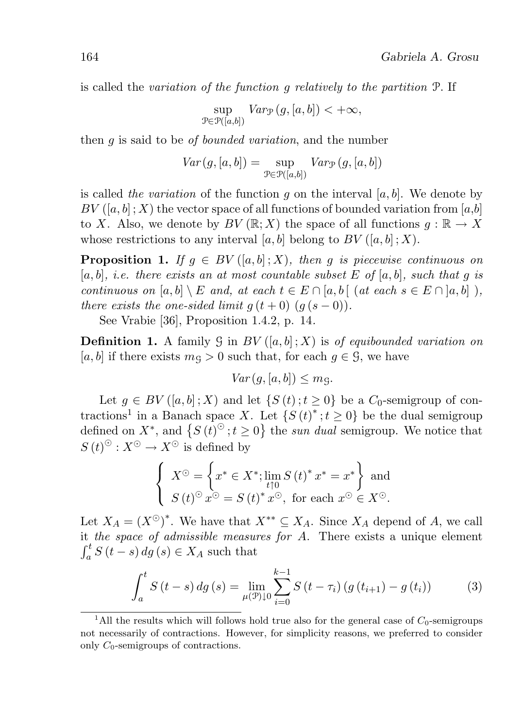is called the variation of the function g relatively to the partition P. If

$$
\sup_{\mathcal{P}\in\mathcal{P}([a,b])}Var_{\mathcal{P}}(g,[a,b])<+\infty,
$$

then q is said to be *of bounded variation*, and the number

$$
Var(g, [a, b]) = \sup_{\mathcal{P} \in \mathcal{P}([a, b])} Var_{\mathcal{P}}(g, [a, b])
$$

is called the variation of the function q on the interval  $[a, b]$ . We denote by  $BV([a, b] : X)$  the vector space of all functions of bounded variation from [a, b] to X. Also, we denote by  $BV(\mathbb{R};X)$  the space of all functions  $q : \mathbb{R} \to X$ whose restrictions to any interval [a, b] belong to  $BV([a, b]; X)$ .

**Proposition 1.** If  $q \in BV([a, b]; X)$ , then q is piecewise continuous on  $[a, b]$ , *i.e.* there exists an at most countable subset E of  $[a, b]$ , such that q is continuous on  $[a, b] \setminus E$  and, at each  $t \in E \cap [a, b]$  (at each  $s \in E \cap [a, b]$ ), there exists the one-sided limit  $q(t+0)$   $(q(s-0))$ .

See Vrabie [36], Proposition 1.4.2, p. 14.

**Definition 1.** A family  $\mathcal G$  in  $BV([a, b]; X)$  is of equibounded variation on [a, b] if there exists  $m<sub>g</sub> > 0$  such that, for each  $g \in \mathcal{G}$ , we have

$$
Var(g, [a, b]) \le m_{\mathcal{G}}.
$$

Let  $g \in BV([a, b]; X)$  and let  $\{S(t); t \geq 0\}$  be a  $C_0$ -semigroup of contractions<sup>1</sup> in a Banach space X. Let  $\{S(t)^{*}: t \geq 0\}$  be the dual semigroup defined on  $X^*$ , and  $\{S(t)^\odot, t\geq 0\}$  the sun dual semigroup. We notice that  $S(t)$ <sup> $\odot$ </sup> :  $X$ <sup> $\odot$ </sup>  $\rightarrow$   $X$ <sup> $\odot$ </sup> is defined by

$$
\begin{cases}\nX^{\odot} = \left\{ x^* \in X^*; \lim_{t \uparrow 0} S(t)^* x^* = x^* \right\} \text{ and} \\
S(t)^{\odot} x^{\odot} = S(t)^* x^{\odot}, \text{ for each } x^{\odot} \in X^{\odot}.\n\end{cases}
$$

Let  $X_A = (X^{\odot})^*$ . We have that  $X^{**} \subseteq X_A$ . Since  $X_A$  depend of A, we call it the space of admissible measures for A. There exists a unique element  $\int_a^t S(t-s) dg(s) \in X_A$  such that

$$
\int_{a}^{t} S(t-s) \, dg \, (s) = \lim_{\mu(\mathcal{P}) \downarrow 0} \sum_{i=0}^{k-1} S(t-\tau_i) \left( g(t_{i+1}) - g(t_i) \right) \tag{3}
$$

<sup>&</sup>lt;sup>1</sup>All the results which will follows hold true also for the general case of  $C_0$ -semigroups not necessarily of contractions. However, for simplicity reasons, we preferred to consider only  $C_0$ -semigroups of contractions.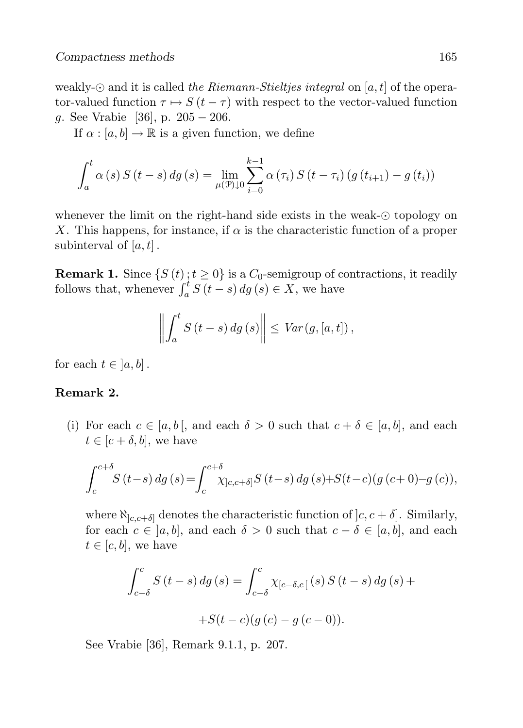weakly- $\odot$  and it is called the Riemann-Stieltjes integral on [a, t] of the operator-valued function  $\tau \mapsto S(t - \tau)$  with respect to the vector-valued function g. See Vrabie [36], p. 205 − 206.

If  $\alpha : [a, b] \to \mathbb{R}$  is a given function, we define

$$
\int_{a}^{t} \alpha(s) S(t-s) dg(s) = \lim_{\mu(\mathcal{P}) \downarrow 0} \sum_{i=0}^{k-1} \alpha(\tau_{i}) S(t-\tau_{i}) (g(t_{i+1}) - g(t_{i}))
$$

whenever the limit on the right-hand side exists in the weak- $\odot$  topology on X. This happens, for instance, if  $\alpha$  is the characteristic function of a proper subinterval of  $[a, t]$ .

**Remark 1.** Since  $\{S(t)\colon t\geq 0\}$  is a  $C_0$ -semigroup of contractions, it readily follows that, whenever  $\int_a^t S(t-s) ds$  (s)  $\in X$ , we have

$$
\left\| \int_a^t S(t-s) \, dg \left(s\right) \right\| \leq Var\left(g, [a, t]\right),
$$

for each  $t \in [a, b]$ .

#### Remark 2.

(i) For each  $c \in [a, b]$ , and each  $\delta > 0$  such that  $c + \delta \in [a, b]$ , and each  $t \in [c + \delta, b]$ , we have

$$
\int_{c}^{c+\delta} S(t-s) \, dg \,(s) = \int_{c}^{c+\delta} \chi_{]c,c+\delta]} S(t-s) \, dg \,(s) + S(t-c) \big(g\,(c+0) - g\,(c)\big),
$$

where  $\aleph_{[c,c+\delta]}$  denotes the characteristic function of  $[c, c + \delta]$ . Similarly, for each  $c \in [a, b]$ , and each  $\delta > 0$  such that  $c - \delta \in [a, b]$ , and each  $t \in [c, b]$ , we have

$$
\int_{c-\delta}^{c} S(t-s) \, dg \, (s) = \int_{c-\delta}^{c} \chi_{[c-\delta,c[} (s) \, S(t-s) \, dg \, (s) +
$$

$$
+S(t-c)(g(c) - g(c-0)).
$$

See Vrabie [36], Remark 9.1.1, p. 207.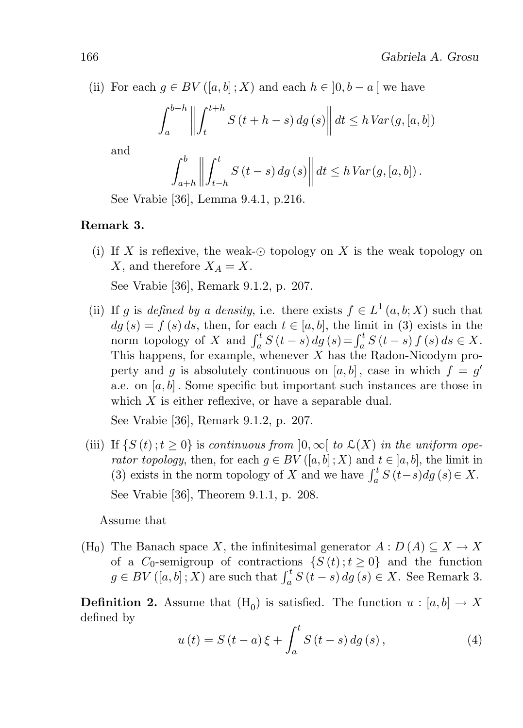(ii) For each  $g \in BV([a, b]; X)$  and each  $h \in [0, b - a]$  we have

$$
\int_{a}^{b-h} \left\| \int_{t}^{t+h} S(t+h-s) \, dg \left(s\right) \right\| dt \le h \, Var(g, [a, b])
$$

and

$$
\int_{a+h}^{b} \left\| \int_{t-h}^{t} S(t-s) \, dg \left(s\right) \right\| dt \leq h \, Var(g, [a, b]).
$$

See Vrabie [36], Lemma 9.4.1, p.216.

### Remark 3.

(i) If X is reflexive, the weak- $\odot$  topology on X is the weak topology on X, and therefore  $X_A = X$ .

See Vrabie [36], Remark 9.1.2, p. 207.

(ii) If g is defined by a density, i.e. there exists  $f \in L^1(a, b; X)$  such that  $dg(s) = f(s) ds$ , then, for each  $t \in [a, b]$ , the limit in (3) exists in the norm topology of X and  $\int_a^t S(t-s) dg(s) = \int_a^t S(t-s) f(s) ds \in X$ . This happens, for example, whenever  $X$  has the Radon-Nicodym property and g is absolutely continuous on  $[a, b]$ , case in which  $f = g'$ a.e. on  $[a, b]$ . Some specific but important such instances are those in which  $X$  is either reflexive, or have a separable dual.

See Vrabie [36], Remark 9.1.2, p. 207.

(iii) If  $\{S(t); t \geq 0\}$  is continuous from  $[0, \infty)$  to  $\mathcal{L}(X)$  in the uniform operator topology, then, for each  $g \in BV([a, b]; X)$  and  $t \in [a, b]$ , the limit in (3) exists in the norm topology of X and we have  $\int_a^t S(t-s)dg(s) \in X$ . See Vrabie [36], Theorem 9.1.1, p. 208.

Assume that

(H<sub>0</sub>) The Banach space X, the infinitesimal generator  $A: D(A) \subseteq X \to X$ of a  $C_0$ -semigroup of contractions  $\{S(t); t \geq 0\}$  and the function  $g \in BV([a, b]; X)$  are such that  $\int_a^t S(t - s) dg(s) \in X$ . See Remark 3.

**Definition 2.** Assume that  $(H_0)$  is satisfied. The function  $u : [a, b] \to X$ defined by

$$
u(t) = S(t-a)\xi + \int_{a}^{t} S(t-s) \, dg(s), \tag{4}
$$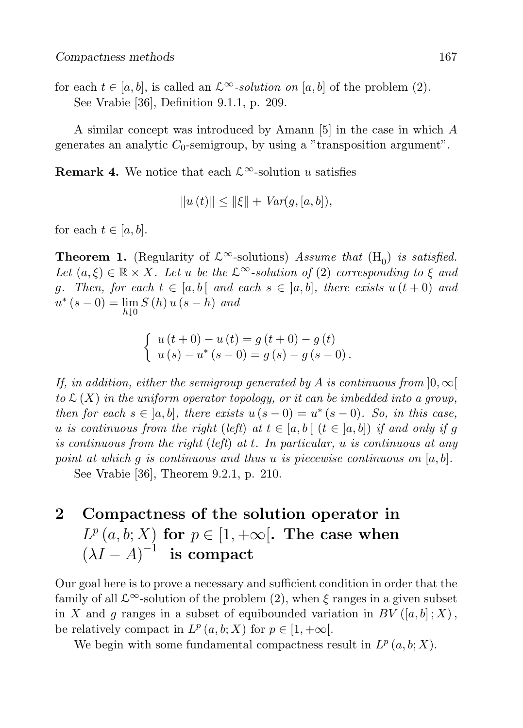for each  $t \in [a, b]$ , is called an  $\mathcal{L}^{\infty}$ -solution on [a, b] of the problem (2). See Vrabie [36], Definition 9.1.1, p. 209.

A similar concept was introduced by Amann [5] in the case in which A generates an analytic  $C_0$ -semigroup, by using a "transposition argument".

**Remark 4.** We notice that each  $\mathcal{L}^{\infty}$ -solution u satisfies

$$
||u(t)|| \le ||\xi|| + Var(g, [a, b]),
$$

for each  $t \in [a, b]$ .

**Theorem 1.** (Regularity of  $\mathcal{L}^{\infty}$ -solutions) Assume that (H<sub>0</sub>) is satisfied. Let  $(a, \xi) \in \mathbb{R} \times X$ . Let u be the  $\mathcal{L}^{\infty}$ -solution of (2) corresponding to  $\xi$  and g. Then, for each  $t \in [a, b]$  and each  $s \in [a, b]$ , there exists  $u(t+0)$  and  $u^{*}(s-0) = \lim_{h \downarrow 0} S(h) u (s-h)$  and

$$
\begin{cases}\n u(t+0) - u(t) = g(t+0) - g(t) \\
 u(s) - u^*(s-0) = g(s) - g(s-0)\n\end{cases}
$$

If, in addition, either the semigroup generated by A is continuous from  $[0, \infty)$ to  $\mathcal{L}(X)$  in the uniform operator topology, or it can be imbedded into a group, then for each  $s \in [a, b]$ , there exists  $u(s - 0) = u^*(s - 0)$ . So, in this case, u is continuous from the right (left) at  $t \in [a, b]$  ( $t \in [a, b]$ ) if and only if g is continuous from the right (left) at t. In particular, u is continuous at any point at which q is continuous and thus u is piecewise continuous on  $[a, b]$ .

See Vrabie [36], Theorem 9.2.1, p. 210.

## 2 Compactness of the solution operator in  $L^p(a,b;X)$  for  $p \in [1,+\infty]$ . The case when  $(\lambda I - A)^{-1}$  is compact

Our goal here is to prove a necessary and sufficient condition in order that the family of all  $\mathcal{L}^{\infty}$ -solution of the problem (2), when  $\xi$  ranges in a given subset in X and g ranges in a subset of equibounded variation in  $BV([a, b]; X)$ , be relatively compact in  $L^p(a,b;X)$  for  $p \in [1,+\infty[$ .

We begin with some fundamental compactness result in  $L^p(a,b;X)$ .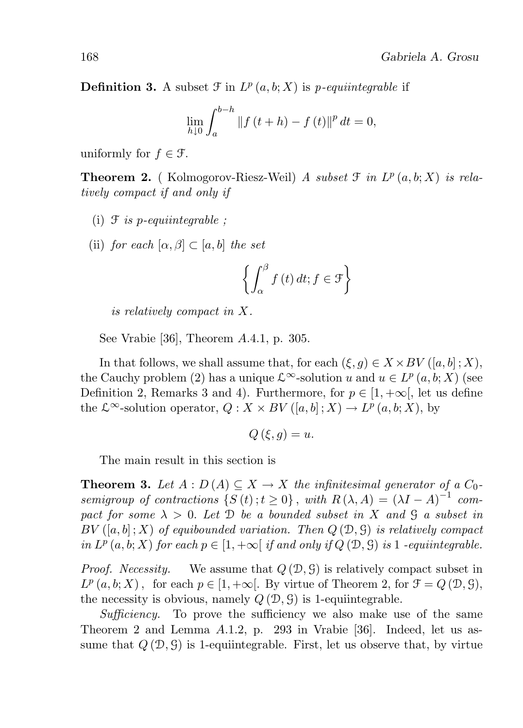**Definition 3.** A subset  $\mathcal{F}$  in  $L^p(a, b; X)$  is *p*-equiintegrable if

$$
\lim_{h \downarrow 0} \int_{a}^{b-h} \|f(t+h) - f(t)\|^p dt = 0,
$$

uniformly for  $f \in \mathcal{F}$ .

**Theorem 2.** (Kolmogorov-Riesz-Weil) A subset  $\mathcal{T}$  in  $L^p(a,b;X)$  is relatively compact if and only if

- (i)  $\mathcal F$  is p-equiintegrable :
- (ii) for each  $[\alpha, \beta] \subset [a, b]$  the set

$$
\left\{ \int_{\alpha}^{\beta} f(t) dt; f \in \mathcal{F} \right\}
$$

is relatively compact in X.

See Vrabie [36], Theorem A.4.1, p. 305.

In that follows, we shall assume that, for each  $(\xi, g) \in X \times BV([a, b]; X)$ , the Cauchy problem (2) has a unique  $\mathcal{L}^{\infty}$ -solution u and  $u \in L^p(a, b; X)$  (see Definition 2, Remarks 3 and 4). Furthermore, for  $p \in [1, +\infty]$ , let us define the  $\mathcal{L}^{\infty}$ -solution operator,  $Q: X \times BV([a, b]; X) \to L^p(a, b; X)$ , by

$$
Q\left(\xi, g\right) = u.
$$

The main result in this section is

**Theorem 3.** Let  $A : D(A) \subseteq X \rightarrow X$  the infinitesimal generator of a  $C_0$ semigroup of contractions  $\{S(t); t \ge 0\}$ , with  $R(\lambda, A) = (\lambda I - A)^{-1}$  compact for some  $\lambda > 0$ . Let D be a bounded subset in X and G a subset in  $BV([a, b]; X)$  of equibounded variation. Then  $Q(\mathfrak{D}, \mathfrak{G})$  is relatively compact in  $L^p(a,b;X)$  for each  $p \in [1,+\infty[$  if and only if  $Q(\mathcal{D},\mathcal{G})$  is 1-equiintegrable.

*Proof.* Necessity. We assume that  $Q(\mathcal{D}, \mathcal{G})$  is relatively compact subset in  $L^p(a, b; X)$ , for each  $p \in [1, +\infty]$ . By virtue of Theorem 2, for  $\mathcal{F} = Q(\mathcal{D}, \mathcal{G})$ , the necessity is obvious, namely  $Q(\mathcal{D}, \mathcal{G})$  is 1-equiintegrable.

Sufficiency. To prove the sufficiency we also make use of the same Theorem 2 and Lemma A.1.2, p. 293 in Vrabie [36]. Indeed, let us assume that  $Q(\mathcal{D}, \mathcal{G})$  is 1-equiintegrable. First, let us observe that, by virtue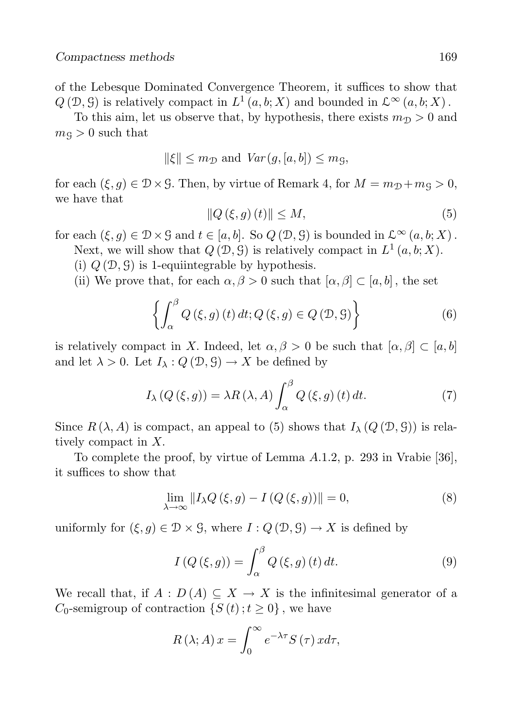of the Lebesque Dominated Convergence Theorem, it suffices to show that  $Q(\mathcal{D}, \mathcal{G})$  is relatively compact in  $L^1(a, b; X)$  and bounded in  $\mathcal{L}^{\infty}(a, b; X)$ .

To this aim, let us observe that, by hypothesis, there exists  $m_{\mathcal{D}} > 0$  and  $m<sub>g</sub> > 0$  such that

$$
\|\xi\| \le m_{\mathcal{D}} \text{ and } Var(g, [a, b]) \le m_{\mathcal{G}},
$$

for each  $(\xi, q) \in \mathcal{D} \times \mathcal{G}$ . Then, by virtue of Remark 4, for  $M = m_{\mathcal{D}} + m_{\mathcal{G}} > 0$ , we have that

$$
||Q(\xi, g)(t)|| \le M,\tag{5}
$$

for each  $(\xi, g) \in \mathcal{D} \times \mathcal{G}$  and  $t \in [a, b]$ . So  $Q(\mathcal{D}, \mathcal{G})$  is bounded in  $\mathcal{L}^{\infty}(a, b; X)$ .

Next, we will show that  $Q(\mathcal{D}, \mathcal{G})$  is relatively compact in  $L^1(a, b; X)$ .

- (i)  $Q(\mathcal{D}, \mathcal{G})$  is 1-equiintegrable by hypothesis.
- (ii) We prove that, for each  $\alpha, \beta > 0$  such that  $[\alpha, \beta] \subset [a, b]$ , the set

$$
\left\{ \int_{\alpha}^{\beta} Q\left(\xi, g\right)(t) dt; Q\left(\xi, g\right) \in Q\left(\mathcal{D}, \mathcal{G}\right) \right\} \tag{6}
$$

is relatively compact in X. Indeed, let  $\alpha, \beta > 0$  be such that  $[\alpha, \beta] \subset [a, b]$ and let  $\lambda > 0$ . Let  $I_{\lambda}: Q(\mathcal{D}, \mathcal{G}) \to X$  be defined by

$$
I_{\lambda}(Q(\xi, g)) = \lambda R(\lambda, A) \int_{\alpha}^{\beta} Q(\xi, g)(t) dt.
$$
 (7)

Since  $R(\lambda, A)$  is compact, an appeal to (5) shows that  $I_{\lambda}(Q(\mathcal{D}, \mathcal{G}))$  is relatively compact in X.

To complete the proof, by virtue of Lemma A.1.2, p. 293 in Vrabie [36], it suffices to show that

$$
\lim_{\lambda \to \infty} ||I_{\lambda}Q(\xi, g) - I(Q(\xi, g))|| = 0,
$$
\n(8)

uniformly for  $(\xi, g) \in \mathcal{D} \times \mathcal{G}$ , where  $I: Q(\mathcal{D}, \mathcal{G}) \to X$  is defined by

$$
I(Q(\xi, g)) = \int_{\alpha}^{\beta} Q(\xi, g)(t) dt.
$$
 (9)

We recall that, if  $A: D(A) \subseteq X \to X$  is the infinitesimal generator of a  $C_0$ -semigroup of contraction  $\{S(t)$ ;  $t \geq 0\}$ , we have

$$
R(\lambda; A) x = \int_0^\infty e^{-\lambda \tau} S(\tau) x d\tau,
$$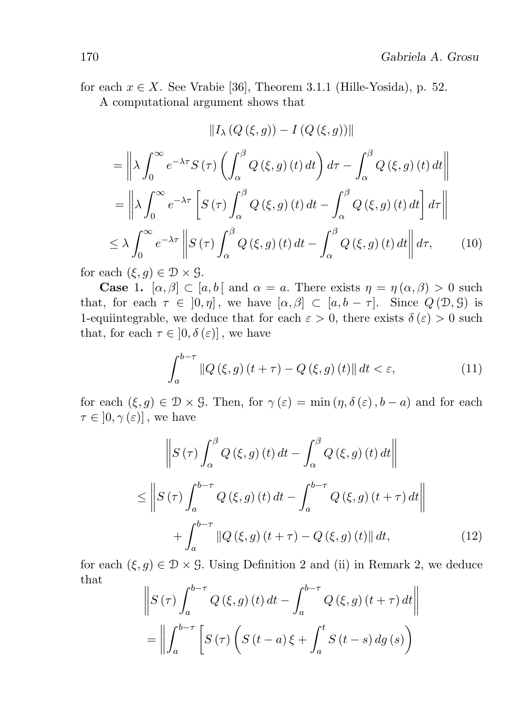for each  $x \in X$ . See Vrabie [36], Theorem 3.1.1 (Hille-Yosida), p. 52.

A computational argument shows that

$$
||I_{\lambda}(Q(\xi, g)) - I(Q(\xi, g))||
$$
  
\n=
$$
||\lambda \int_{0}^{\infty} e^{-\lambda \tau} S(\tau) \left( \int_{\alpha}^{\beta} Q(\xi, g) (t) dt \right) d\tau - \int_{\alpha}^{\beta} Q(\xi, g) (t) dt ||
$$
  
\n=
$$
||\lambda \int_{0}^{\infty} e^{-\lambda \tau} \left[ S(\tau) \int_{\alpha}^{\beta} Q(\xi, g) (t) dt - \int_{\alpha}^{\beta} Q(\xi, g) (t) dt \right] d\tau ||
$$
  
\n
$$
\leq \lambda \int_{0}^{\infty} e^{-\lambda \tau} ||S(\tau) \int_{\alpha}^{\beta} Q(\xi, g) (t) dt - \int_{\alpha}^{\beta} Q(\xi, g) (t) dt || d\tau,
$$
 (10)

for each  $(\xi, q) \in \mathcal{D} \times \mathcal{G}$ .

**Case** 1.  $[\alpha, \beta] \subset [a, b]$  and  $\alpha = a$ . There exists  $\eta = \eta(\alpha, \beta) > 0$  such that, for each  $\tau \in [0, \eta]$ , we have  $[\alpha, \beta] \subset [a, b - \tau]$ . Since  $Q(\mathcal{D}, \mathcal{G})$  is 1-equiintegrable, we deduce that for each  $\varepsilon > 0$ , there exists  $\delta(\varepsilon) > 0$  such that, for each  $\tau \in [0, \delta(\varepsilon)]$ , we have

$$
\int_{a}^{b-\tau} \|Q(\xi, g)(t+\tau) - Q(\xi, g)(t)\| \, dt < \varepsilon,\tag{11}
$$

for each  $(\xi, g) \in \mathcal{D} \times \mathcal{G}$ . Then, for  $\gamma(\varepsilon) = \min(\eta, \delta(\varepsilon), b - a)$  and for each  $\tau \in [0, \gamma(\varepsilon)]$ , we have

$$
\left\| S\left(\tau\right) \int_{\alpha}^{\beta} Q\left(\xi, g\right)(t) dt - \int_{\alpha}^{\beta} Q\left(\xi, g\right)(t) dt \right\|
$$
  

$$
\leq \left\| S\left(\tau\right) \int_{a}^{b-\tau} Q\left(\xi, g\right)(t) dt - \int_{a}^{b-\tau} Q\left(\xi, g\right)(t+\tau) dt \right\|
$$
  

$$
+ \int_{a}^{b-\tau} \|Q\left(\xi, g\right)(t+\tau) - Q\left(\xi, g\right)(t) \| dt,
$$
 (12)

for each  $(\xi, g) \in \mathcal{D} \times \mathcal{G}$ . Using Definition 2 and (ii) in Remark 2, we deduce that

$$
\left\| S\left(\tau\right) \int_{a}^{b-\tau} Q\left(\xi, g\right)(t) dt - \int_{a}^{b-\tau} Q\left(\xi, g\right)(t+\tau) dt \right\|
$$

$$
= \left\| \int_{a}^{b-\tau} \left[ S\left(\tau\right) \left( S\left(t-a\right) \xi + \int_{a}^{t} S\left(t-s\right) dg\left(s\right) \right) \right\|
$$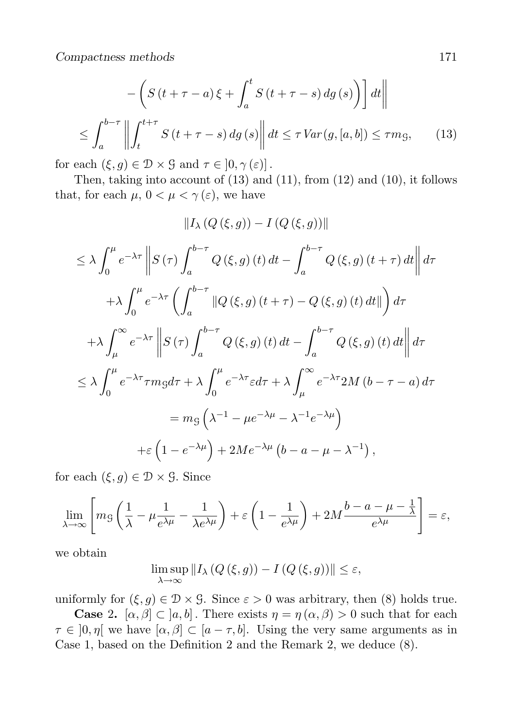Compactness methods 171

$$
-\left(S\left(t+\tau-a\right)\xi+\int_{a}^{t} S\left(t+\tau-s\right) dg\left(s\right)\right) dt
$$

$$
\leq \int_{a}^{b-\tau} \left\| \int_{t}^{t+\tau} S\left(t+\tau-s\right) dg\left(s\right) \right\| dt \leq \tau \operatorname{Var}\left(g,\left[a,b\right]\right) \leq \tau m_{\mathcal{G}},\tag{13}
$$

for each  $(\xi, g) \in \mathcal{D} \times \mathcal{G}$  and  $\tau \in [0, \gamma(\varepsilon)]$ .

Then, taking into account of (13) and (11), from (12) and (10), it follows that, for each  $\mu$ ,  $0 < \mu < \gamma(\varepsilon)$ , we have

$$
||I_{\lambda}(Q(\xi,g)) - I(Q(\xi,g))||
$$
  
\n
$$
\leq \lambda \int_{0}^{\mu} e^{-\lambda \tau} \left\| S(\tau) \int_{a}^{b-\tau} Q(\xi, g) (t) dt - \int_{a}^{b-\tau} Q(\xi, g) (t + \tau) dt \right\| d\tau
$$
  
\n
$$
+ \lambda \int_{0}^{\mu} e^{-\lambda \tau} \left( \int_{a}^{b-\tau} ||Q(\xi, g) (t + \tau) - Q(\xi, g) (t) dt|| \right) d\tau
$$
  
\n
$$
+ \lambda \int_{\mu}^{\infty} e^{-\lambda \tau} \left\| S(\tau) \int_{a}^{b-\tau} Q(\xi, g) (t) dt - \int_{a}^{b-\tau} Q(\xi, g) (t) dt \right\| d\tau
$$
  
\n
$$
\leq \lambda \int_{0}^{\mu} e^{-\lambda \tau} \tau mg d\tau + \lambda \int_{0}^{\mu} e^{-\lambda \tau} \varepsilon d\tau + \lambda \int_{\mu}^{\infty} e^{-\lambda \tau} 2M (b - \tau - a) d\tau
$$
  
\n
$$
= mg \left( \lambda^{-1} - \mu e^{-\lambda \mu} - \lambda^{-1} e^{-\lambda \mu} \right)
$$
  
\n
$$
+ \varepsilon \left( 1 - e^{-\lambda \mu} \right) + 2Me^{-\lambda \mu} \left( b - a - \mu - \lambda^{-1} \right),
$$

for each  $(\xi, g) \in \mathcal{D} \times \mathcal{G}$ . Since

$$
\lim_{\lambda \to \infty} \left[ m_{\mathcal{G}} \left( \frac{1}{\lambda} - \mu \frac{1}{e^{\lambda \mu}} - \frac{1}{\lambda e^{\lambda \mu}} \right) + \varepsilon \left( 1 - \frac{1}{e^{\lambda \mu}} \right) + 2M \frac{b - a - \mu - \frac{1}{\lambda}}{e^{\lambda \mu}} \right] = \varepsilon,
$$

we obtain

$$
\limsup_{\lambda \to \infty} ||I_{\lambda}(Q(\xi, g)) - I(Q(\xi, g))|| \le \varepsilon,
$$

uniformly for  $(\xi, g) \in \mathcal{D} \times \mathcal{G}$ . Since  $\varepsilon > 0$  was arbitrary, then (8) holds true.

**Case 2.**  $[\alpha, \beta] \subset [a, b]$ . There exists  $\eta = \eta(\alpha, \beta) > 0$  such that for each  $\tau \in [0, \eta]$  we have  $[\alpha, \beta] \subset [a - \tau, b]$ . Using the very same arguments as in Case 1, based on the Definition 2 and the Remark 2, we deduce (8).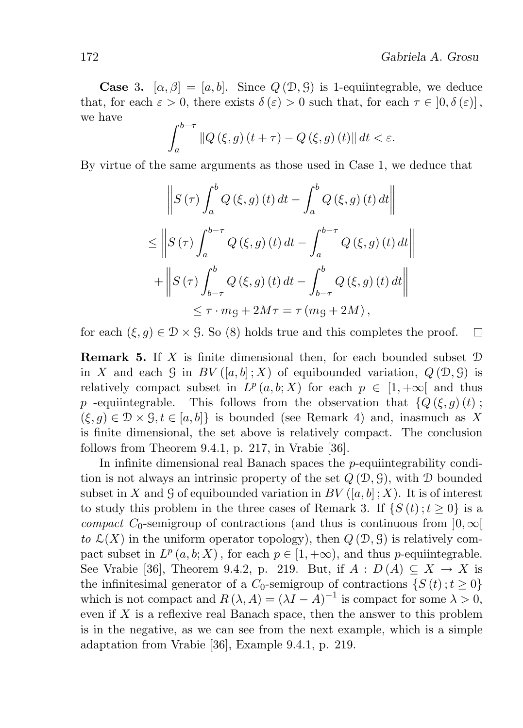**Case 3.**  $[\alpha, \beta] = [a, b]$ . Since  $Q(\mathcal{D}, \mathcal{G})$  is 1-equiintegrable, we deduce that, for each  $\varepsilon > 0$ , there exists  $\delta(\varepsilon) > 0$  such that, for each  $\tau \in [0, \delta(\varepsilon)]$ , we have

$$
\int_{a}^{b-\tau} \|Q(\xi,g)(t+\tau) - Q(\xi,g)(t)\| dt < \varepsilon.
$$

By virtue of the same arguments as those used in Case 1, we deduce that

$$
\left\| S\left(\tau\right) \int_{a}^{b} Q\left(\xi, g\right)(t) dt - \int_{a}^{b} Q\left(\xi, g\right)(t) dt \right\|
$$
  

$$
\leq \left\| S\left(\tau\right) \int_{a}^{b-\tau} Q\left(\xi, g\right)(t) dt - \int_{a}^{b-\tau} Q\left(\xi, g\right)(t) dt \right\|
$$
  

$$
+ \left\| S\left(\tau\right) \int_{b-\tau}^{b} Q\left(\xi, g\right)(t) dt - \int_{b-\tau}^{b} Q\left(\xi, g\right)(t) dt \right\|
$$
  

$$
\leq \tau \cdot mg + 2M\tau = \tau \left(mg + 2M\right),
$$

for each  $(\xi, g) \in \mathcal{D} \times \mathcal{G}$ . So (8) holds true and this completes the proof.  $\Box$ 

**Remark 5.** If  $X$  is finite dimensional then, for each bounded subset  $D$ in X and each G in  $BV([a, b]; X)$  of equibounded variation,  $Q(\mathcal{D}, \mathcal{G})$  is relatively compact subset in  $L^p(a,b;X)$  for each  $p \in [1,+\infty]$  and thus p -equiintegrable. This follows from the observation that  ${Q(\xi, q)(t)}$ ;  $(\xi, g) \in \mathcal{D} \times \mathcal{G}, t \in [a, b]$  is bounded (see Remark 4) and, inasmuch as X is finite dimensional, the set above is relatively compact. The conclusion follows from Theorem 9.4.1, p. 217, in Vrabie [36].

In infinite dimensional real Banach spaces the p-equiintegrability condition is not always an intrinsic property of the set  $Q(\mathcal{D}, \mathcal{G})$ , with  $\mathcal D$  bounded subset in X and G of equibounded variation in BV  $([a, b]$ ; X). It is of interest to study this problem in the three cases of Remark 3. If  $\{S(t); t \geq 0\}$  is a compact C<sub>0</sub>-semigroup of contractions (and thus is continuous from  $]0, \infty[$ to  $\mathcal{L}(X)$  in the uniform operator topology), then  $Q(\mathcal{D}, \mathcal{G})$  is relatively compact subset in  $L^p(a,b;X)$ , for each  $p \in [1,+\infty)$ , and thus *p*-equiintegrable. See Vrabie [36], Theorem 9.4.2, p. 219. But, if  $A: D(A) \subseteq X \to X$  is the infinitesimal generator of a  $C_0$ -semigroup of contractions  $\{S(t);t\geq 0\}$ which is not compact and  $R(\lambda, A) = (\lambda I - A)^{-1}$  is compact for some  $\lambda > 0$ , even if  $X$  is a reflexive real Banach space, then the answer to this problem is in the negative, as we can see from the next example, which is a simple adaptation from Vrabie [36], Example 9.4.1, p. 219.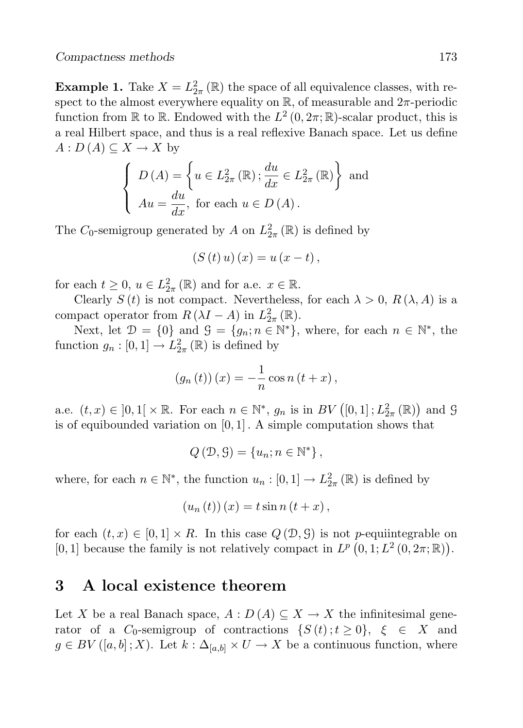**Example 1.** Take  $X = L^2_{2\pi}(\mathbb{R})$  the space of all equivalence classes, with respect to the almost everywhere equality on  $\mathbb{R}$ , of measurable and  $2\pi$ -periodic function from  $\mathbb R$  to  $\mathbb R$ . Endowed with the  $L^2(0, 2\pi; \mathbb R)$ -scalar product, this is a real Hilbert space, and thus is a real reflexive Banach space. Let us define  $A: D(A) \subseteq X \to X$  by

$$
\begin{cases}\nD(A) = \left\{ u \in L_{2\pi}^2(\mathbb{R}) \, ; \frac{du}{dx} \in L_{2\pi}^2(\mathbb{R}) \right\} \text{ and} \\
Au = \frac{du}{dx}, \text{ for each } u \in D(A).\n\end{cases}
$$

The  $C_0$ -semigroup generated by A on  $L_{2\pi}^2(\mathbb{R})$  is defined by

$$
(S(t) u) (x) = u (x - t),
$$

for each  $t \geq 0$ ,  $u \in L^2_{2\pi}(\mathbb{R})$  and for a.e.  $x \in \mathbb{R}$ .

Clearly  $S(t)$  is not compact. Nevertheless, for each  $\lambda > 0$ ,  $R(\lambda, A)$  is a compact operator from  $R(\lambda I - A)$  in  $L_{2\pi}^2(\mathbb{R})$ .

Next, let  $\mathcal{D} = \{0\}$  and  $\mathcal{G} = \{g_n; n \in \mathbb{N}^*\}$ , where, for each  $n \in \mathbb{N}^*$ , the function  $g_n : [0,1] \to L^2_{2\pi}(\mathbb{R})$  is defined by

$$
(g_n(t))(x) = -\frac{1}{n}\cos n (t+x),
$$

a.e.  $(t, x) \in ]0, 1[ \times \mathbb{R}$ . For each  $n \in \mathbb{N}^*$ ,  $g_n$  is in  $BV([0, 1]; L^2_{2\pi}(\mathbb{R}))$  and  $\mathcal G$ is of equibounded variation on  $[0, 1]$ . A simple computation shows that

$$
Q(\mathcal{D}, \mathcal{G}) = \{u_n; n \in \mathbb{N}^*\},\
$$

where, for each  $n \in \mathbb{N}^*$ , the function  $u_n : [0,1] \to L^2_{2\pi}(\mathbb{R})$  is defined by

$$
(u_n(t))(x) = t \sin n (t + x),
$$

for each  $(t, x) \in [0, 1] \times R$ . In this case  $Q(\mathcal{D}, \mathcal{G})$  is not p-equiintegrable on [0, 1] because the family is not relatively compact in  $L^p(0,1;L^2(0,2\pi;\mathbb{R}))$ .

### 3 A local existence theorem

Let X be a real Banach space,  $A: D(A) \subseteq X \longrightarrow X$  the infinitesimal generator of a  $C_0$ -semigroup of contractions  $\{S(t); t \geq 0\}$ ,  $\xi \in X$  and  $g \in BV([a, b]; X)$ . Let  $k : \Delta_{[a, b]} \times U \to X$  be a continuous function, where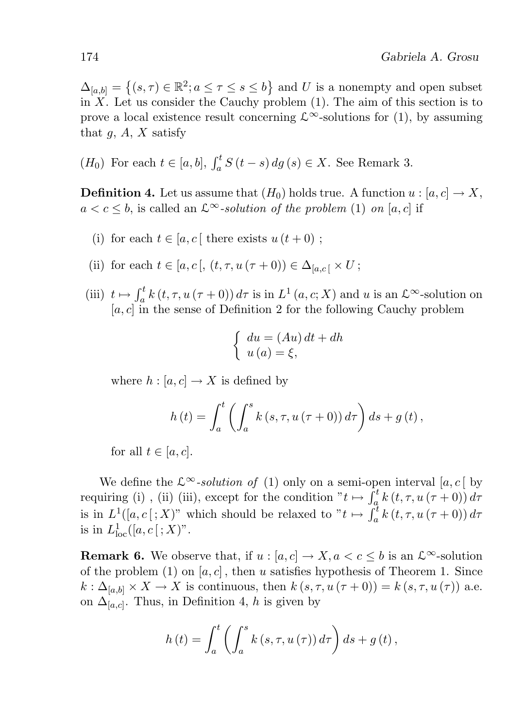$\Delta_{[a,b]} = \left\{ (s,\tau) \in \mathbb{R}^2; a \leq \tau \leq s \leq b \right\}$  and U is a nonempty and open subset in  $X$ . Let us consider the Cauchy problem  $(1)$ . The aim of this section is to prove a local existence result concerning  $\mathcal{L}^{\infty}$ -solutions for (1), by assuming that  $g, A, X$  satisfy

 $(H_0)$  For each  $t \in [a, b]$ ,  $\int_a^t S(t - s) dg (s) \in X$ . See Remark 3.

**Definition 4.** Let us assume that  $(H_0)$  holds true. A function  $u : [a, c] \to X$ ,  $a < c \leq b$ , is called an  $\mathcal{L}^{\infty}$ -solution of the problem (1) on [a, c] if

- (i) for each  $t \in [a, c]$  there exists  $u(t+0)$ ;
- (ii) for each  $t \in [a, c], (t, \tau, u(\tau + 0)) \in \Delta_{[a, c]} \times U;$
- (iii)  $t \mapsto \int_a^t k(t, \tau, u(\tau + 0)) d\tau$  is in  $L^1(a, c; X)$  and u is an  $\mathcal{L}^{\infty}$ -solution on  $[a, c]$  in the sense of Definition 2 for the following Cauchy problem

$$
\begin{cases} du = (Au) dt + dh \\ u(a) = \xi, \end{cases}
$$

where  $h : [a, c] \to X$  is defined by

$$
h(t) = \int_{a}^{t} \left( \int_{a}^{s} k(s, \tau, u(\tau + 0)) d\tau \right) ds + g(t),
$$

for all  $t \in [a, c]$ .

We define the  $\mathcal{L}^{\infty}$ -solution of (1) only on a semi-open interval [a, c] by requiring (i), (ii) (iii), except for the condition  $"t \mapsto \int_a^t k(t, \tau, u(\tau + 0)) d\tau$ is in  $L^1([a, c]; X)$ " which should be relaxed to " $t \mapsto \int_a^t k(t, \tau, u(\tau + 0)) d\tau$ is in  $L^1_{\text{loc}}([a, c[; X)]$ .

**Remark 6.** We observe that, if  $u : [a, c] \to X, a < c \leq b$  is an  $\mathcal{L}^{\infty}$ -solution of the problem (1) on  $[a, c]$ , then u satisfies hypothesis of Theorem 1. Since  $k: \Delta_{[a,b]} \times X \to X$  is continuous, then  $k(s,\tau, u(\tau+0)) = k(s,\tau, u(\tau))$  a.e. on  $\Delta_{[a,c]}$ . Thus, in Definition 4, h is given by

$$
h(t) = \int_{a}^{t} \left( \int_{a}^{s} k(s, \tau, u(\tau)) d\tau \right) ds + g(t),
$$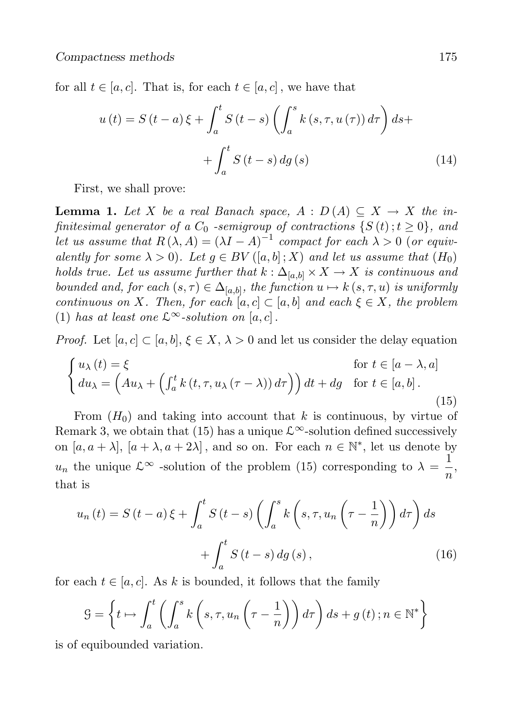for all  $t \in [a, c]$ . That is, for each  $t \in [a, c]$ , we have that

$$
u(t) = S(t-a)\xi + \int_{a}^{t} S(t-s) \left(\int_{a}^{s} k(s,\tau, u(\tau)) d\tau\right) ds +
$$

$$
+ \int_{a}^{t} S(t-s) dg(s)
$$
(14)

First, we shall prove:

**Lemma 1.** Let X be a real Banach space,  $A : D(A) \subseteq X \rightarrow X$  the infinitesimal generator of a  $C_0$  -semigroup of contractions  $\{S(t); t \geq 0\}$ , and let us assume that  $R(\lambda, A) = (\lambda I - A)^{-1}$  compact for each  $\lambda > 0$  (or equivalently for some  $\lambda > 0$ . Let  $q \in BV([a, b]; X)$  and let us assume that  $(H_0)$ holds true. Let us assume further that  $k : \Delta_{[a,b]} \times X \to X$  is continuous and bounded and, for each  $(s, \tau) \in \Delta_{[a,b]}$ , the function  $u \mapsto k(s, \tau, u)$  is uniformly continuous on X. Then, for each  $[a, c] \subset [a, b]$  and each  $\xi \in X$ , the problem (1) has at least one  $\mathcal{L}^{\infty}$ -solution on [a, c].

*Proof.* Let  $[a, c] \subset [a, b], \xi \in X, \lambda > 0$  and let us consider the delay equation

$$
\begin{cases}\nu_{\lambda}(t) = \xi & \text{for } t \in [a - \lambda, a] \\
du_{\lambda} = \left(Au_{\lambda} + \left(\int_{a}^{t} k(t, \tau, u_{\lambda}(\tau - \lambda)) d\tau\right)\right) dt + dg & \text{for } t \in [a, b].\n\end{cases}
$$
\n(15)

From  $(H_0)$  and taking into account that k is continuous, by virtue of Remark 3, we obtain that (15) has a unique  $\mathcal{L}^{\infty}$ -solution defined successively on  $[a, a + \lambda], [a + \lambda, a + 2\lambda]$ , and so on. For each  $n \in \mathbb{N}^*$ , let us denote by  $u_n$  the unique  $\mathcal{L}^{\infty}$  -solution of the problem (15) corresponding to  $\lambda = \frac{1}{n}$  $\frac{1}{n}$ , that is

$$
u_n(t) = S(t-a)\xi + \int_a^t S(t-s) \left( \int_a^s k\left(s, \tau, u_n\left(\tau - \frac{1}{n}\right) \right) d\tau \right) ds
$$

$$
+ \int_a^t S(t-s) \, dg\left(s\right), \tag{16}
$$

for each  $t \in [a, c]$ . As k is bounded, it follows that the family

$$
\mathcal{G} = \left\{ t \mapsto \int_{a}^{t} \left( \int_{a}^{s} k\left(s, \tau, u_{n}\left(\tau - \frac{1}{n}\right)\right) d\tau \right) ds + g(t) \, ; n \in \mathbb{N}^{*} \right\}
$$

is of equibounded variation.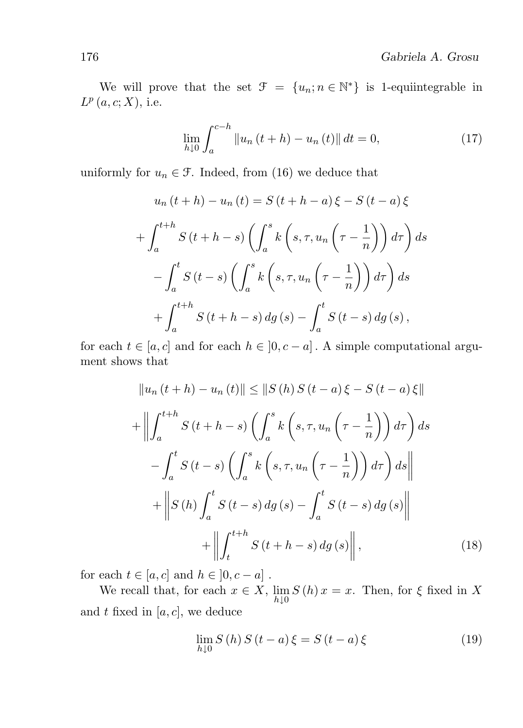We will prove that the set  $\mathcal{F} = \{u_n; n \in \mathbb{N}^*\}$  is 1-equiintegrable in  $L^p(a, c; X)$ , i.e.

$$
\lim_{h \downarrow 0} \int_{a}^{c-h} \|u_n(t+h) - u_n(t)\| \, dt = 0,\tag{17}
$$

uniformly for  $u_n \in \mathcal{F}$ . Indeed, from (16) we deduce that

$$
u_n(t+h) - u_n(t) = S(t+h-a)\xi - S(t-a)\xi
$$

$$
+ \int_a^{t+h} S(t+h-s) \left( \int_a^s k\left(s, \tau, u_n\left(\tau - \frac{1}{n}\right) \right) d\tau \right) ds
$$

$$
- \int_a^t S(t-s) \left( \int_a^s k\left(s, \tau, u_n\left(\tau - \frac{1}{n}\right) \right) d\tau \right) ds
$$

$$
+ \int_a^{t+h} S(t+h-s) dg(s) - \int_a^t S(t-s) dg(s),
$$

for each  $t \in [a, c]$  and for each  $h \in [0, c - a]$ . A simple computational argument shows that

$$
||u_n(t+h) - u_n(t)|| \le ||S(h)S(t-a)\xi - S(t-a)\xi||
$$
  
+ 
$$
||\int_a^{t+h} S(t+h-s) \left(\int_a^s k\left(s, \tau, u_n\left(\tau - \frac{1}{n}\right)\right) d\tau\right) ds
$$
  
- 
$$
\int_a^t S(t-s) \left(\int_a^s k\left(s, \tau, u_n\left(\tau - \frac{1}{n}\right)\right) d\tau\right) ds
$$
  
+ 
$$
||S(h) \int_a^t S(t-s) dg(s) - \int_a^t S(t-s) dg(s)||
$$
  
+ 
$$
||\int_t^{t+h} S(t+h-s) dg(s)||,
$$
 (18)

for each  $t \in [a, c]$  and  $h \in [0, c - a]$ .

We recall that, for each  $x \in X$ ,  $\lim_{h \downarrow 0} S(h) x = x$ . Then, for  $\xi$  fixed in X and  $t$  fixed in  $[a, c]$ , we deduce

$$
\lim_{h \downarrow 0} S(h) S(t-a) \xi = S(t-a) \xi \tag{19}
$$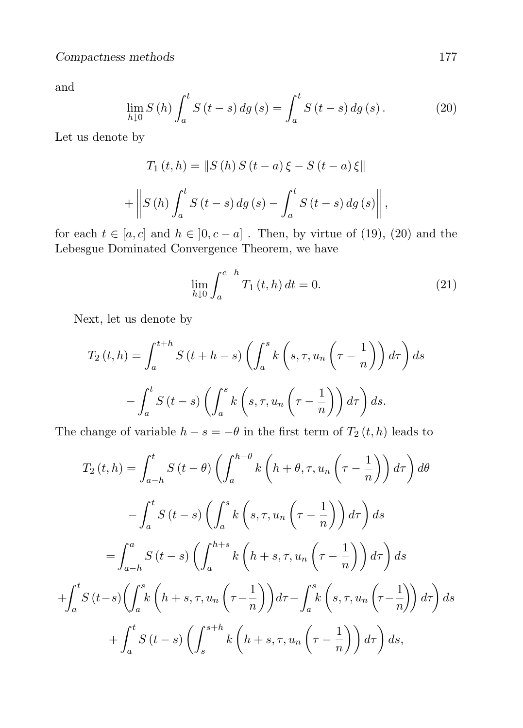and

$$
\lim_{h \downarrow 0} S(h) \int_{a}^{t} S(t - s) \, dg \, (s) = \int_{a}^{t} S(t - s) \, dg \, (s) \,. \tag{20}
$$

Let us denote by

$$
T_1(t, h) = ||S(h) S(t - a) \xi - S(t - a) \xi||
$$
  
+ 
$$
||S(h) \int_a^t S(t - s) dg(s) - \int_a^t S(t - s) dg(s) ||,
$$

for each  $t \in [a, c]$  and  $h \in [0, c - a]$ . Then, by virtue of (19), (20) and the Lebesgue Dominated Convergence Theorem, we have

$$
\lim_{h \downarrow 0} \int_{a}^{c-h} T_1(t, h) dt = 0.
$$
\n(21)

Next, let us denote by

$$
T_2(t, h) = \int_a^{t+h} S(t+h-s) \left( \int_a^s k\left(s, \tau, u_n\left(\tau - \frac{1}{n}\right) \right) d\tau \right) ds
$$

$$
- \int_a^t S(t-s) \left( \int_a^s k\left(s, \tau, u_n\left(\tau - \frac{1}{n}\right) \right) d\tau \right) ds.
$$

The change of variable  $h - s = -\theta$  in the first term of  $T_2(t, h)$  leads to

$$
T_2(t, h) = \int_{a-h}^t S(t - \theta) \left( \int_a^{h+\theta} k \left( h + \theta, \tau, u_n \left( \tau - \frac{1}{n} \right) \right) d\tau \right) d\theta
$$

$$
- \int_a^t S(t - s) \left( \int_a^s k \left( s, \tau, u_n \left( \tau - \frac{1}{n} \right) \right) d\tau \right) ds
$$

$$
= \int_{a-h}^a S(t - s) \left( \int_a^{h+s} k \left( h + s, \tau, u_n \left( \tau - \frac{1}{n} \right) \right) d\tau \right) ds
$$

$$
+ \int_a^t S(t - s) \left( \int_a^s k \left( h + s, \tau, u_n \left( \tau - \frac{1}{n} \right) \right) d\tau - \int_a^s k \left( s, \tau, u_n \left( \tau - \frac{1}{n} \right) \right) d\tau \right) ds
$$

$$
+ \int_a^t S(t - s) \left( \int_s^{s+h} k \left( h + s, \tau, u_n \left( \tau - \frac{1}{n} \right) \right) d\tau \right) ds,
$$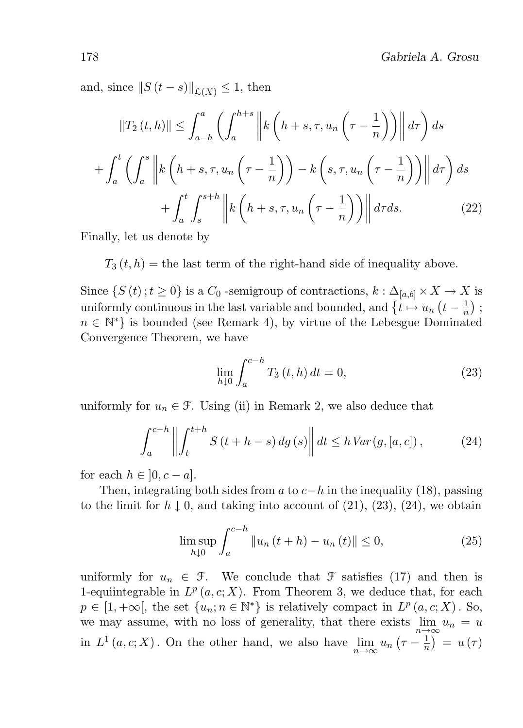and, since  $||S(t - s)||_{\mathcal{L}(X)} \leq 1$ , then

$$
||T_2(t,h)|| \leq \int_{a-h}^a \left(\int_a^{h+s} \left\| k\left(h+s,\tau,u_n\left(\tau-\frac{1}{n}\right)\right) \right\| d\tau\right) ds
$$

$$
+ \int_a^t \left(\int_a^s \left\| k\left(h+s,\tau,u_n\left(\tau-\frac{1}{n}\right)\right) - k\left(s,\tau,u_n\left(\tau-\frac{1}{n}\right)\right) \right\| d\tau\right) ds
$$

$$
+ \int_a^t \int_s^{s+h} \left\| k\left(h+s,\tau,u_n\left(\tau-\frac{1}{n}\right)\right) \right\| d\tau ds. \tag{22}
$$

Finally, let us denote by

 $T_3(t, h)$  = the last term of the right-hand side of inequality above.

Since  $\{S(t) : t \geq 0\}$  is a  $C_0$ -semigroup of contractions,  $k : \Delta_{[a,b]} \times X \to X$  is uniformly continuous in the last variable and bounded, and  $\{t \mapsto u_n (t - \frac{1}{n})\}$  $\frac{1}{n})$  ;  $n \in \mathbb{N}^*$  is bounded (see Remark 4), by virtue of the Lebesgue Dominated Convergence Theorem, we have

$$
\lim_{h \downarrow 0} \int_{a}^{c-h} T_3(t, h) dt = 0,
$$
\n(23)

uniformly for  $u_n \in \mathcal{F}$ . Using (ii) in Remark 2, we also deduce that

$$
\int_{a}^{c-h} \left\| \int_{t}^{t+h} S(t+h-s) \, dg(s) \right\| dt \le h \, Var(g, [a, c]),\tag{24}
$$

for each  $h \in [0, c - a]$ .

Then, integrating both sides from a to  $c-h$  in the inequality (18), passing to the limit for  $h \downarrow 0$ , and taking into account of (21), (23), (24), we obtain

$$
\limsup_{h \downarrow 0} \int_{a}^{c-h} \|u_n(t+h) - u_n(t)\| \le 0,
$$
\n(25)

uniformly for  $u_n \in \mathcal{F}$ . We conclude that  $\mathcal F$  satisfies (17) and then is 1-equiintegrable in  $L^p(a, c; X)$ . From Theorem 3, we deduce that, for each  $p \in [1, +\infty],$  the set  $\{u_n; n \in \mathbb{N}^*\}$  is relatively compact in  $L^p(a, c; X)$ . So, we may assume, with no loss of generality, that there exists  $\lim_{n\to\infty}u_n=u$ in  $L^1(a, c; X)$ . On the other hand, we also have  $\lim_{n \to \infty} u_n(\tau - \frac{1}{n})$  $\frac{1}{n}$  =  $u(\tau)$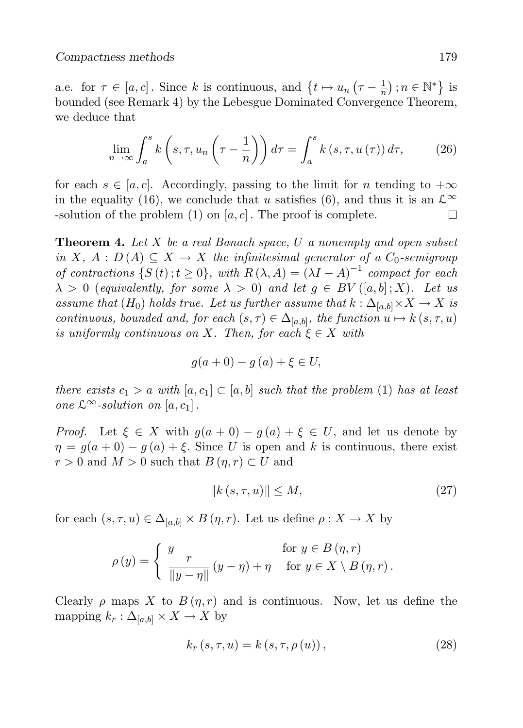a.e. for  $\tau \in [a, c]$ . Since k is continuous, and  $\{t \mapsto u_n \left(\tau - \frac{1}{n}\right)\}$  $\frac{1}{n}$ );  $n \in \mathbb{N}^*$ } is bounded (see Remark 4) by the Lebesgue Dominated Convergence Theorem, we deduce that

$$
\lim_{n \to \infty} \int_{a}^{s} k\left(s, \tau, u_{n}\left(\tau - \frac{1}{n}\right)\right) d\tau = \int_{a}^{s} k\left(s, \tau, u\left(\tau\right)\right) d\tau, \tag{26}
$$

for each  $s \in [a, c]$ . Accordingly, passing to the limit for n tending to  $+\infty$ in the equality (16), we conclude that u satisfies (6), and thus it is an  $\mathcal{L}^{\infty}$ -solution of the problem  $(1)$  on  $[a, c]$ . The proof is complete.  $\Box$ 

**Theorem 4.** Let  $X$  be a real Banach space,  $U$  a nonempty and open subset in X,  $A: D(A) \subseteq X \rightarrow X$  the infinitesimal generator of a  $C_0$ -semigroup of contractions  $\{S(t); t \geq 0\}$ , with  $R(\lambda, A) = (\lambda I - A)^{-1}$  compact for each  $\lambda > 0$  (equivalently, for some  $\lambda > 0$ ) and let  $g \in BV([a, b]; X)$ . Let us assume that  $(H_0)$  holds true. Let us further assume that  $k : \Delta_{[a,b]} \times X \to X$  is continuous, bounded and, for each  $(s, \tau) \in \Delta_{[a,b]}$ , the function  $u \mapsto k(s, \tau, u)$ is uniformly continuous on X. Then, for each  $\xi \in X$  with

$$
g(a+0)-g(a)+\xi\in U,
$$

there exists  $c_1 > a$  with  $[a, c_1] \subset [a, b]$  such that the problem (1) has at least one  $\mathcal{L}^{\infty}$ -solution on  $[a, c_1]$ .

*Proof.* Let  $\xi \in X$  with  $g(a + 0) - g(a) + \xi \in U$ , and let us denote by  $\eta = g(a+0) - g(a) + \xi$ . Since U is open and k is continuous, there exist  $r > 0$  and  $M > 0$  such that  $B(\eta, r) \subset U$  and

$$
||k(s, \tau, u)|| \le M,\t(27)
$$

for each  $(s, \tau, u) \in \Delta_{[a,b]} \times B(\eta, r)$ . Let us define  $\rho : X \to X$  by

$$
\rho(y) = \begin{cases} y & \text{for } y \in B(\eta, r) \\ \frac{1}{\|y - \eta\|} (y - \eta) + \eta & \text{for } y \in X \setminus B(\eta, r) \end{cases}
$$

Clearly  $\rho$  maps X to  $B(\eta, r)$  and is continuous. Now, let us define the mapping  $k_r : \Delta_{[a,b]} \times X \to X$  by

$$
k_r(s, \tau, u) = k(s, \tau, \rho(u)),
$$
\n(28)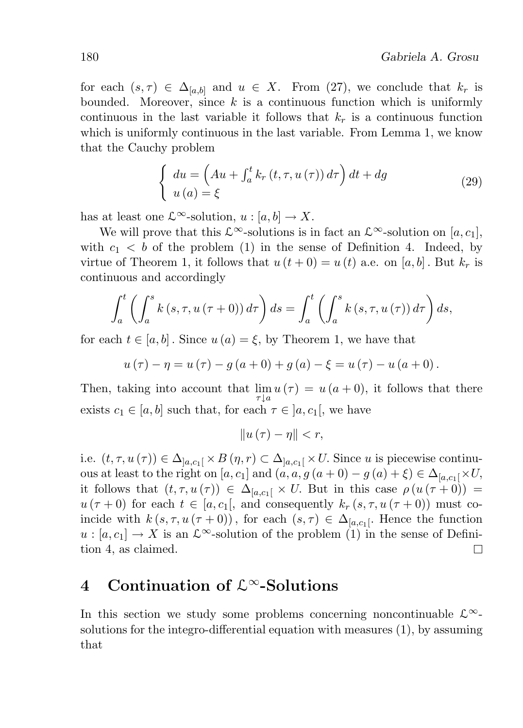for each  $(s, \tau) \in \Delta_{[a,b]}$  and  $u \in X$ . From (27), we conclude that  $k_r$  is bounded. Moreover, since  $k$  is a continuous function which is uniformly continuous in the last variable it follows that  $k_r$  is a continuous function which is uniformly continuous in the last variable. From Lemma 1, we know that the Cauchy problem

$$
\begin{cases}\n du = \left( Au + \int_{a}^{t} k_r(t, \tau, u(\tau)) d\tau \right) dt + dg \\
 u(a) = \xi\n\end{cases}
$$
\n(29)

has at least one  $\mathcal{L}^{\infty}$ -solution,  $u : [a, b] \to X$ .

We will prove that this  $\mathcal{L}^{\infty}$ -solutions is in fact an  $\mathcal{L}^{\infty}$ -solution on [a, c<sub>1</sub>], with  $c_1 < b$  of the problem (1) in the sense of Definition 4. Indeed, by virtue of Theorem 1, it follows that  $u(t+0) = u(t)$  a.e. on [a, b]. But  $k_r$  is continuous and accordingly

$$
\int_{a}^{t} \left( \int_{a}^{s} k(s, \tau, u(\tau + 0)) d\tau \right) ds = \int_{a}^{t} \left( \int_{a}^{s} k(s, \tau, u(\tau)) d\tau \right) ds,
$$

for each  $t \in [a, b]$ . Since  $u(a) = \xi$ , by Theorem 1, we have that

$$
u(\tau) - \eta = u(\tau) - g(a+0) + g(a) - \xi = u(\tau) - u(a+0).
$$

Then, taking into account that  $\lim u(\tau) = u(a+0)$ , it follows that there  $\tau | a$ exists  $c_1 \in [a, b]$  such that, for each  $\tau \in [a, c_1]$ , we have

$$
||u(\tau)-\eta||
$$

i.e.  $(t, \tau, u(\tau)) \in \Delta_{]a,c_1[} \times B(\eta, r) \subset \Delta_{]a,c_1[} \times U$ . Since u is piecewise continuous at least to the right on [a, c<sub>1</sub>] and  $(a, a, g (a + 0) - g (a) + \xi) \in \Delta_{[a, c_1]} \times U$ , it follows that  $(t, \tau, u(\tau)) \in \Delta_{[a,c_1]} \times U$ . But in this case  $\rho(u(\tau + 0)) =$  $u(\tau+0)$  for each  $t \in [a, c_1]$ , and consequently  $k_r(s, \tau, u(\tau+0))$  must coincide with  $k(s, \tau, u(\tau + 0))$ , for each  $(s, \tau) \in \Delta_{[a,c_1]}$ . Hence the function  $u : [a, c_1] \to X$  is an  $\mathcal{L}^{\infty}$ -solution of the problem (1) in the sense of Definition 4, as claimed.  $\Box$ 

## 4 Continuation of  $\mathcal{L}^{\infty}$ -Solutions

In this section we study some problems concerning noncontinuable  $\mathcal{L}^{\infty}$ solutions for the integro-differential equation with measures (1), by assuming that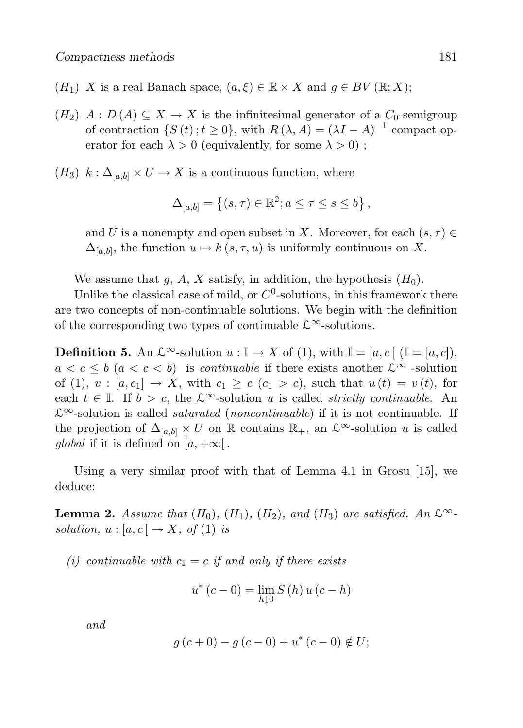- $(H_1)$  X is a real Banach space,  $(a, \xi) \in \mathbb{R} \times X$  and  $g \in BV(\mathbb{R}; X);$
- $(H_2)$   $A: D(A) \subseteq X \rightarrow X$  is the infinitesimal generator of a  $C_0$ -semigroup of contraction  $\{S(t); t \ge 0\}$ , with  $R(\lambda, A) = (\lambda I - A)^{-1}$  compact operator for each  $\lambda > 0$  (equivalently, for some  $\lambda > 0$ );
- $(H_3)$   $k : \Delta_{[a,b]} \times U \to X$  is a continuous function, where

$$
\Delta_{[a,b]} = \left\{ (s,\tau) \in \mathbb{R}^2; a \le \tau \le s \le b \right\},\
$$

and U is a nonempty and open subset in X. Moreover, for each  $(s, \tau) \in$  $\Delta_{[a,b]}$ , the function  $u \mapsto k(s,\tau, u)$  is uniformly continuous on X.

We assume that g, A, X satisfy, in addition, the hypothesis  $(H_0)$ .

Unlike the classical case of mild, or  $C^0$ -solutions, in this framework there are two concepts of non-continuable solutions. We begin with the definition of the corresponding two types of continuable  $\mathcal{L}^{\infty}$ -solutions.

**Definition 5.** An  $\mathcal{L}^{\infty}$ -solution  $u : \mathbb{I} \to X$  of (1), with  $\mathbb{I} = [a, c]$   $(\mathbb{I} = [a, c])$ ,  $a < c \leq b$   $(a < c < b)$  is *continuable* if there exists another  $\mathcal{L}^{\infty}$  -solution of (1),  $v : [a, c_1] \rightarrow X$ , with  $c_1 \geq c$  ( $c_1 > c$ ), such that  $u(t) = v(t)$ , for each  $t \in \mathbb{I}$ . If  $b > c$ , the  $\mathcal{L}^{\infty}$ -solution u is called *strictly continuable*. An  $\mathcal{L}^{\infty}$ -solution is called *saturated* (*noncontinuable*) if it is not continuable. If the projection of  $\Delta_{[a,b]} \times U$  on R contains R<sub>+</sub>, an  $\mathcal{L}^{\infty}$ -solution u is called global if it is defined on  $[a, +\infty]$ .

Using a very similar proof with that of Lemma 4.1 in Grosu [15], we deduce:

**Lemma 2.** Assume that  $(H_0)$ ,  $(H_1)$ ,  $(H_2)$ , and  $(H_3)$  are satisfied. An  $\mathcal{L}^{\infty}$ . solution,  $u : [a, c] \rightarrow X$ , of (1) is

(i) continuable with  $c_1 = c$  if and only if there exists

$$
u^*(c-0) = \lim_{h \downarrow 0} S(h) u(c-h)
$$

and

$$
g(c+0) - g(c-0) + u^*(c-0) \notin U;
$$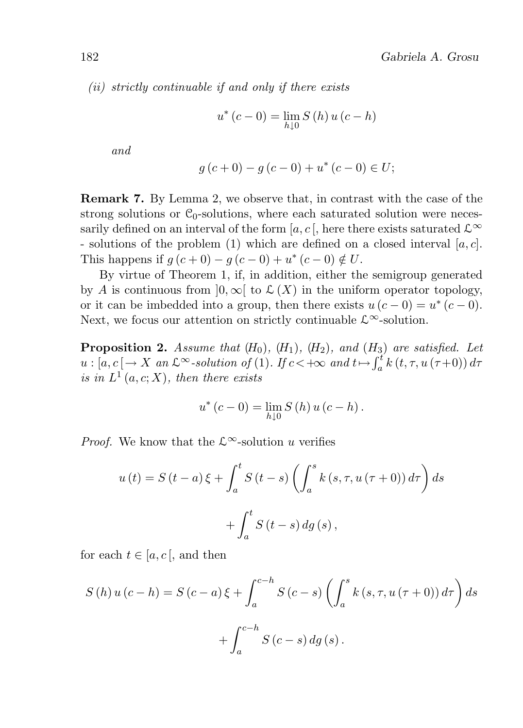(ii) strictly continuable if and only if there exists

$$
u^*(c-0) = \lim_{h \downarrow 0} S(h) u(c-h)
$$

and

$$
g(c+0) - g(c-0) + u^*(c-0) \in U;
$$

Remark 7. By Lemma 2, we observe that, in contrast with the case of the strong solutions or  $C_0$ -solutions, where each saturated solution were necessarily defined on an interval of the form [a, c ], here there exists saturated  $\mathcal{L}^{\infty}$ - solutions of the problem (1) which are defined on a closed interval  $[a, c]$ . This happens if  $g(c+0) - g(c-0) + u^*(c-0) \notin U$ .

By virtue of Theorem 1, if, in addition, either the semigroup generated by A is continuous from  $]0, \infty[$  to  $\mathcal{L}(X)$  in the uniform operator topology, or it can be imbedded into a group, then there exists  $u(c-0) = u^*(c-0)$ . Next, we focus our attention on strictly continuable  $\mathcal{L}^{\infty}$ -solution.

**Proposition 2.** Assume that  $(H_0)$ ,  $(H_1)$ ,  $(H_2)$ , and  $(H_3)$  are satisfied. Let  $u : [a, c] \to X$  an  $\mathcal{L}^{\infty}$ -solution of (1). If  $c < +\infty$  and  $t \mapsto \int_a^t k(t, \tau, u(\tau+0)) d\tau$ is in  $L^1(a,c;X)$ , then there exists

$$
u^*(c-0) = \lim_{h \downarrow 0} S(h) u(c-h).
$$

*Proof.* We know that the  $\mathcal{L}^{\infty}$ -solution u verifies

$$
u(t) = S(t-a)\xi + \int_{a}^{t} S(t-s) \left( \int_{a}^{s} k(s,\tau, u(\tau+0)) d\tau \right) ds
$$

$$
+ \int_{a}^{t} S(t-s) dg(s),
$$

for each  $t \in [a, c]$ , and then

$$
S(h) u (c - h) = S(c - a) \xi + \int_{a}^{c - h} S(c - s) \left( \int_{a}^{s} k (s, \tau, u(\tau + 0)) d\tau \right) ds
$$

$$
+ \int_{a}^{c - h} S(c - s) dg (s).
$$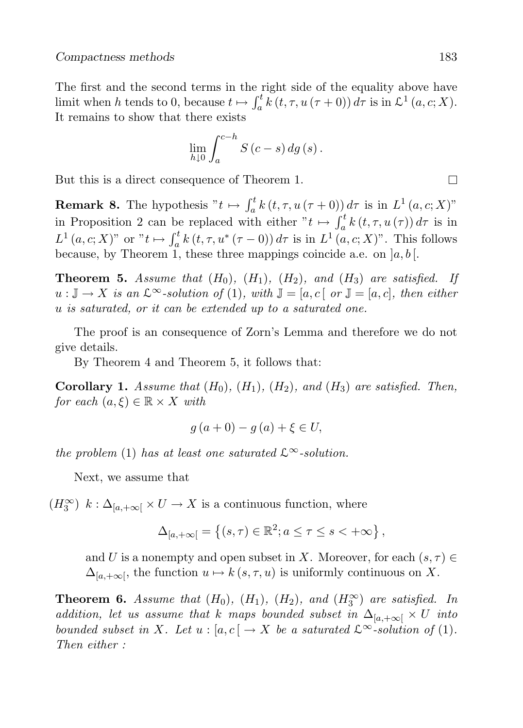The first and the second terms in the right side of the equality above have limit when h tends to 0, because  $t \mapsto \int_a^t k(t, \tau, u(\tau + 0)) d\tau$  is in  $\mathcal{L}^1(a, c; X)$ . It remains to show that there exists

$$
\lim_{h\downarrow 0}\int_{a}^{c-h}S\left(c-s\right)dg\left(s\right).
$$

But this is a direct consequence of Theorem 1.

**Remark 8.** The hypothesis " $t \mapsto \int_a^t k(t, \tau, u(\tau + 0)) d\tau$  is in  $L^1(a, c; X)$ " in Proposition 2 can be replaced with either  $"t \mapsto \int_a^t k(t, \tau, u(\tau)) d\tau$  is in  $L^1(a, c; X)$ " or " $t \mapsto \int_a^t k(t, \tau, u^*(\tau - 0)) d\tau$  is in  $L^1(a, c; X)$ ". This follows because, by Theorem 1, these three mappings coincide a.e. on  $[a, b]$ .

**Theorem 5.** Assume that  $(H_0)$ ,  $(H_1)$ ,  $(H_2)$ , and  $(H_3)$  are satisfied. If  $u : \mathbb{J} \to X$  is an  $\mathcal{L}^{\infty}$ -solution of (1), with  $\mathbb{J} = [a, c]$  or  $\mathbb{J} = [a, c]$ , then either u is saturated, or it can be extended up to a saturated one.

The proof is an consequence of Zorn's Lemma and therefore we do not give details.

By Theorem 4 and Theorem 5, it follows that:

**Corollary 1.** Assume that  $(H_0)$ ,  $(H_1)$ ,  $(H_2)$ , and  $(H_3)$  are satisfied. Then, for each  $(a, \xi) \in \mathbb{R} \times X$  with

$$
g(a+0) - g(a) + \xi \in U
$$
,

the problem (1) has at least one saturated  $\mathcal{L}^{\infty}$ -solution.

Next, we assume that

 $(H_3^{\infty})$   $k: \Delta_{[a,+\infty[} \times U \to X \text{ is a continuous function, where})$ 

$$
\Delta_{[a,+\infty[} = \left\{ (s,\tau) \in \mathbb{R}^2; a \le \tau \le s < +\infty \right\},\
$$

and U is a nonempty and open subset in X. Moreover, for each  $(s, \tau) \in$  $\Delta_{[a,+\infty[}$ , the function  $u \mapsto k(s,\tau,u)$  is uniformly continuous on X.

**Theorem 6.** Assume that  $(H_0)$ ,  $(H_1)$ ,  $(H_2)$ , and  $(H_3^{\infty})$  are satisfied. In addition, let us assume that k maps bounded subset in  $\Delta_{[a,+\infty[} \times U]$  into bounded subset in X. Let  $u : [a, c] \to X$  be a saturated  $\mathcal{L}^{\infty}$ -solution of (1). Then either :

 $\Box$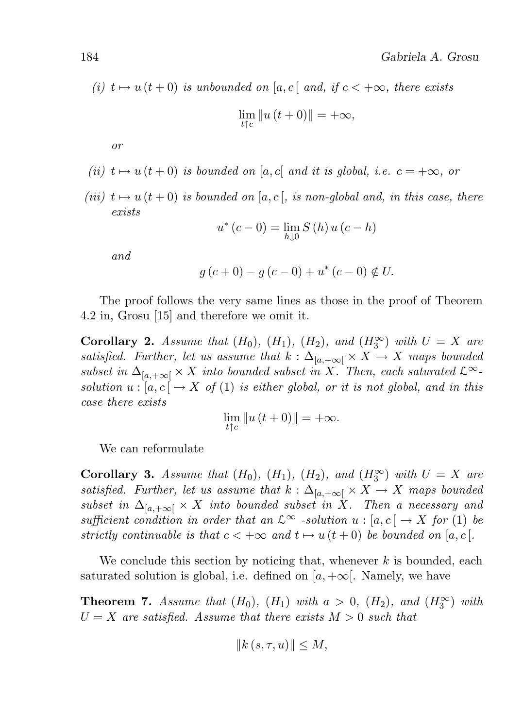(i)  $t \mapsto u(t + 0)$  is unbounded on [a, c] and, if  $c < +\infty$ , there exists

$$
\lim_{t \uparrow c} \|u(t+0)\| = +\infty,
$$

or

- (ii)  $t \mapsto u(t + 0)$  is bounded on [a, c] and it is global, i.e.  $c = +\infty$ , or
- (iii)  $t \mapsto u(t + 0)$  is bounded on [a, c], is non-global and, in this case, there exists

$$
u^*(c-0) = \lim_{h \downarrow 0} S(h) u(c-h)
$$

and

$$
g(c+0) - g(c-0) + u^*(c-0) \notin U.
$$

The proof follows the very same lines as those in the proof of Theorem 4.2 in, Grosu [15] and therefore we omit it.

**Corollary 2.** Assume that  $(H_0)$ ,  $(H_1)$ ,  $(H_2)$ , and  $(H_3^{\infty})$  with  $U = X$  are satisfied. Further, let us assume that  $k : \Delta_{[a,+\infty[} \times X \to X$  maps bounded subset in  $\Delta_{[a,+\infty[} \times X$  into bounded subset in X. Then, each saturated  $\mathcal{L}^{\infty}$ solution  $u : [a, c] \to X$  of (1) is either global, or it is not global, and in this case there exists

$$
\lim_{t \uparrow c} \|u(t+0)\| = +\infty.
$$

We can reformulate

**Corollary 3.** Assume that  $(H_0)$ ,  $(H_1)$ ,  $(H_2)$ , and  $(H_3^{\infty})$  with  $U = X$  are satisfied. Further, let us assume that  $k : \Delta_{[a,+\infty[} \times X \to X$  maps bounded subset in  $\Delta_{[a,+\infty[} \times X]$  into bounded subset in X. Then a necessary and sufficient condition in order that an  $\mathcal{L}^{\infty}$  -solution  $u : [a, c] \to X$  for (1) be strictly continuable is that  $c < +\infty$  and  $t \mapsto u(t+0)$  be bounded on [a, c ].

We conclude this section by noticing that, whenever  $k$  is bounded, each saturated solution is global, i.e. defined on  $[a, +\infty]$ . Namely, we have

**Theorem 7.** Assume that  $(H_0)$ ,  $(H_1)$  with  $a > 0$ ,  $(H_2)$ , and  $(H_3^{\infty})$  with  $U = X$  are satisfied. Assume that there exists  $M > 0$  such that

$$
||k(s, \tau, u)|| \le M,
$$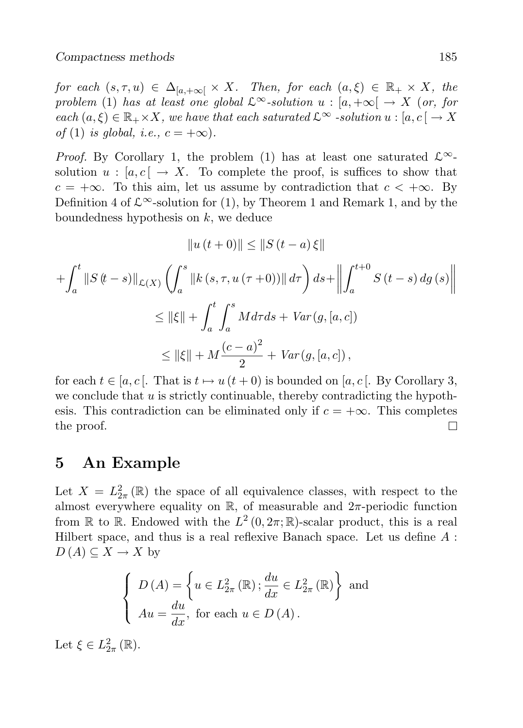for each  $(s, \tau, u) \in \Delta_{[a, +\infty[} \times X]$ . Then, for each  $(a, \xi) \in \mathbb{R}_+ \times X$ , the problem (1) has at least one global  $\mathcal{L}^{\infty}$ -solution  $u : [a, +\infty] \to X$  (or, for each  $(a, \xi) \in \mathbb{R}_+ \times X$ , we have that each saturated  $\mathcal{L}^{\infty}$  -solution  $u : [a, c] \to X$ of (1) is global, i.e.,  $c = +\infty$ ).

*Proof.* By Corollary 1, the problem (1) has at least one saturated  $\mathcal{L}^{\infty}$ solution  $u : [a, c] \to X$ . To complete the proof, is suffices to show that  $c = +\infty$ . To this aim, let us assume by contradiction that  $c < +\infty$ . By Definition 4 of  $\mathcal{L}^{\infty}$ -solution for (1), by Theorem 1 and Remark 1, and by the boundedness hypothesis on  $k$ , we deduce

$$
||u(t+0)|| \le ||S(t-a)\xi||
$$
  
+  $\int_{a}^{t} ||S(t-s)||_{\mathcal{L}(X)} \left( \int_{a}^{s} ||k(s,\tau, u(\tau+0))|| d\tau \right) ds + ||\int_{a}^{t+0} S(t-s) dg(s)|$   

$$
\le ||\xi|| + \int_{a}^{t} \int_{a}^{s} M d\tau ds + Var(g, [a, c])
$$
  

$$
\le ||\xi|| + M \frac{(c-a)^{2}}{2} + Var(g, [a, c]),
$$

for each  $t \in [a, c]$ . That is  $t \mapsto u(t + 0)$  is bounded on  $[a, c]$ . By Corollary 3, we conclude that  $u$  is strictly continuable, thereby contradicting the hypothesis. This contradiction can be eliminated only if  $c = +\infty$ . This completes the proof.  $\Box$ 

### 5 An Example

Let  $X = L_{2\pi}^2(\mathbb{R})$  the space of all equivalence classes, with respect to the almost everywhere equality on  $\mathbb{R}$ , of measurable and  $2\pi$ -periodic function from  $\mathbb R$  to  $\mathbb R$ . Endowed with the  $L^2(0, 2\pi; \mathbb R)$ -scalar product, this is a real Hilbert space, and thus is a real reflexive Banach space. Let us define  $A$ :  $D(A) \subseteq X \to X$  by

$$
\begin{cases}\nD(A) = \left\{ u \in L_{2\pi}^2(\mathbb{R}) \, ; \frac{du}{dx} \in L_{2\pi}^2(\mathbb{R}) \right\} \text{ and} \\
Au = \frac{du}{dx}, \text{ for each } u \in D(A).\n\end{cases}
$$

Let  $\xi \in L^2_{2\pi}(\mathbb{R})$ .

 $\begin{array}{c} \hline \textbf{1} \\ \textbf{2} \\ \textbf{3} \\ \textbf{4} \end{array}$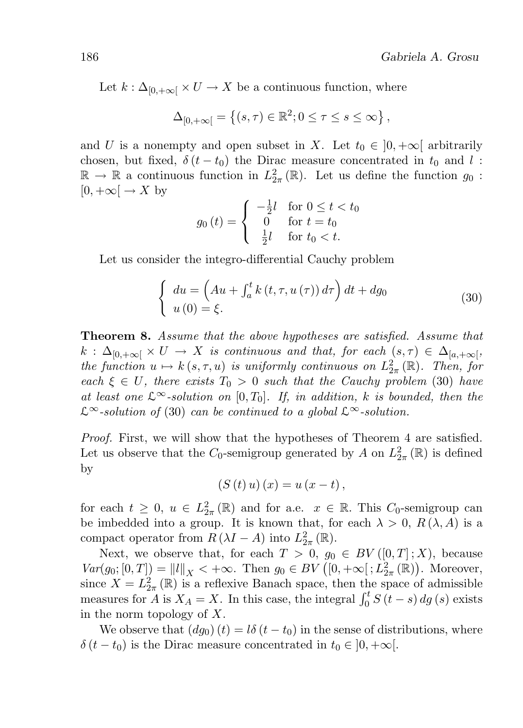Let  $k : \Delta_{[0,+\infty[} \times U \to X$  be a continuous function, where

$$
\Delta_{[0,+\infty[} = \left\{ (s,\tau) \in \mathbb{R}^2; 0 \leq \tau \leq s \leq \infty \right\},\
$$

and U is a nonempty and open subset in X. Let  $t_0 \in [0, +\infty]$  arbitrarily chosen, but fixed,  $\delta(t-t_0)$  the Dirac measure concentrated in  $t_0$  and l:  $\mathbb{R} \to \mathbb{R}$  a continuous function in  $L^2_{2\pi}(\mathbb{R})$ . Let us define the function  $g_0$ :  $[0, +\infty[ \rightarrow X$  by

$$
g_0(t) = \begin{cases} -\frac{1}{2}l & \text{for } 0 \le t < t_0 \\ 0 & \text{for } t = t_0 \\ \frac{1}{2}l & \text{for } t_0 < t. \end{cases}
$$

Let us consider the integro-differential Cauchy problem

$$
\begin{cases}\n du = \left( Au + \int_{a}^{t} k\left(t, \tau, u\left(\tau\right) \right) d\tau \right) dt + dg_0 \\
 u\left(0\right) = \xi.\n\end{cases} \tag{30}
$$

Theorem 8. Assume that the above hypotheses are satisfied. Assume that  $k$  :  $\Delta_{[0,+\infty[} \times U \to X$  is continuous and that, for each  $(s,\tau) \in \Delta_{[a,+\infty[}$ , the function  $u \mapsto k(s, \tau, u)$  is uniformly continuous on  $L^2_{2\pi}(\mathbb{R})$ . Then, for each  $\xi \in U$ , there exists  $T_0 > 0$  such that the Cauchy problem (30) have at least one  $\mathcal{L}^{\infty}$ -solution on [0, T<sub>0</sub>]. If, in addition, k is bounded, then the  $\mathcal{L}^{\infty}$ -solution of (30) can be continued to a global  $\mathcal{L}^{\infty}$ -solution.

Proof. First, we will show that the hypotheses of Theorem 4 are satisfied. Let us observe that the  $C_0$ -semigroup generated by A on  $L^2_{2\pi}(\mathbb{R})$  is defined by

$$
(S(t) u) (x) = u (x - t),
$$

for each  $t \geq 0$ ,  $u \in L^2_{2\pi}(\mathbb{R})$  and for a.e.  $x \in \mathbb{R}$ . This  $C_0$ -semigroup can be imbedded into a group. It is known that, for each  $\lambda > 0$ ,  $R(\lambda, A)$  is a compact operator from  $R(\lambda I - A)$  into  $L_{2\pi}^2(\mathbb{R})$ .

Next, we observe that, for each  $T > 0$ ,  $g_0 \in BV([0,T];X)$ , because  $Var(g_0; [0, T]) = ||l||_X < +\infty.$  Then  $g_0 \in BV([0, +\infty[; L]_{{2\pi}}^2(\mathbb{R}))$ . Moreover, since  $X = L^2_{2\pi}(\mathbb{R})$  is a reflexive Banach space, then the space of admissible measures for A is  $X_A = X$ . In this case, the integral  $\int_0^t S(t-s) ds(s)$  exists in the norm topology of X.

We observe that  $(dg_0)(t) = l\delta(t - t_0)$  in the sense of distributions, where  $\delta(t - t_0)$  is the Dirac measure concentrated in  $t_0 \in (0, +\infty)$ .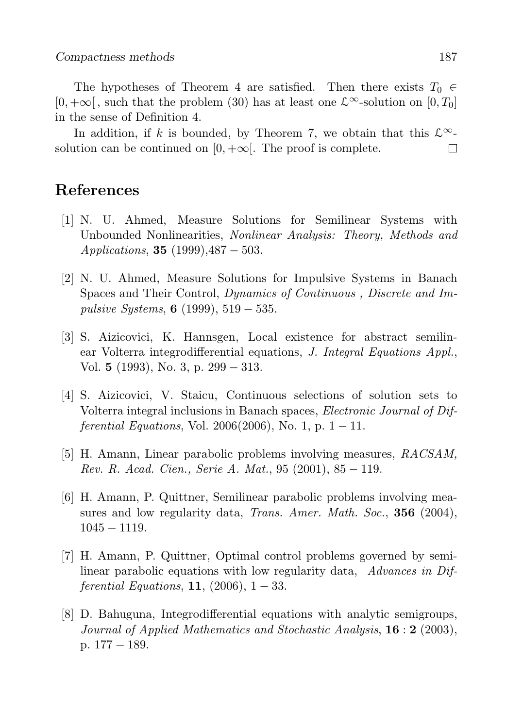The hypotheses of Theorem 4 are satisfied. Then there exists  $T_0 \in$  $[0, +\infty[$ , such that the problem (30) has at least one  $\mathcal{L}^{\infty}$ -solution on  $[0, T_0]$ in the sense of Definition 4.

In addition, if k is bounded, by Theorem 7, we obtain that this  $\mathcal{L}^{\infty}$ solution can be continued on  $[0, +\infty]$ . The proof is complete. П

## References

- [1] N. U. Ahmed, Measure Solutions for Semilinear Systems with Unbounded Nonlinearities, Nonlinear Analysis: Theory, Methods and *Applications*, **35** (1999),  $487 - 503$ .
- [2] N. U. Ahmed, Measure Solutions for Impulsive Systems in Banach Spaces and Their Control, Dynamics of Continuous , Discrete and Impulsive Systems, 6 (1999),  $519 - 535$ .
- [3] S. Aizicovici, K. Hannsgen, Local existence for abstract semilinear Volterra integrodifferential equations, J. Integral Equations Appl., Vol. 5 (1993), No. 3, p. 299 − 313.
- [4] S. Aizicovici, V. Staicu, Continuous selections of solution sets to Volterra integral inclusions in Banach spaces, Electronic Journal of Differential Equations, Vol. 2006(2006), No. 1, p.  $1 - 11$ .
- [5] H. Amann, Linear parabolic problems involving measures, RACSAM, Rev. R. Acad. Cien., Serie A. Mat., 95  $(2001)$ , 85 – 119.
- [6] H. Amann, P. Quittner, Semilinear parabolic problems involving measures and low regularity data, *Trans. Amer. Math. Soc.*, **356** (2004), 1045 − 1119.
- [7] H. Amann, P. Quittner, Optimal control problems governed by semilinear parabolic equations with low regularity data, Advances in Dif*ferential Equations*, **11**,  $(2006)$ , **1** − 33.
- [8] D. Bahuguna, Integrodifferential equations with analytic semigroups, Journal of Applied Mathematics and Stochastic Analysis,  $16:2$  (2003), p. 177 − 189.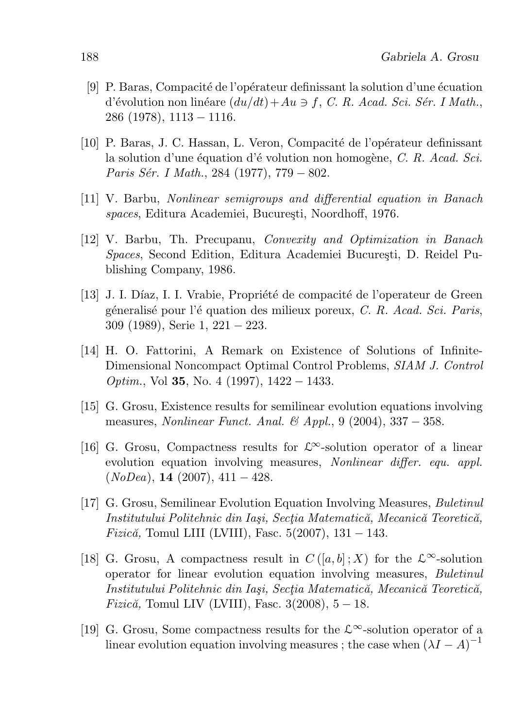- $[9]$  P. Baras, Compacité de l'opérateur definissant la solution d'une écuation d'évolution non linéare  $(du/dt) + Au \ni f$ , C. R. Acad. Sci. Sér. I Math., 286 (1978), 1113 − 1116.
- [10] P. Baras, J. C. Hassan, L. Veron, Compacité de l'opérateur definissant la solution d'une équation d'évolution non homogène, C. R. Acad. Sci. Paris Sér. I Math., 284 (1977), 779 − 802.
- [11] V. Barbu, Nonlinear semigroups and differential equation in Banach spaces, Editura Academiei, București, Noordhoff, 1976.
- [12] V. Barbu, Th. Precupanu, Convexity and Optimization in Banach Spaces, Second Edition, Editura Academiei București, D. Reidel Publishing Company, 1986.
- [13] J. I. Díaz, I. I. Vrabie, Propriété de compacité de l'operateur de Green géneralisé pour l'équation des milieux poreux,  $C. R.$  Acad. Sci. Paris, 309 (1989), Serie 1, 221 − 223.
- [14] H. O. Fattorini, A Remark on Existence of Solutions of Infinite-Dimensional Noncompact Optimal Control Problems, SIAM J. Control  $Optim.$ , Vol 35, No. 4 (1997), 1422 – 1433.
- [15] G. Grosu, Existence results for semilinear evolution equations involving measures, Nonlinear Funct. Anal. & Appl., 9 (2004), 337 − 358.
- [16] G. Grosu, Compactness results for  $\mathcal{L}^{\infty}$ -solution operator of a linear evolution equation involving measures, *Nonlinear differ. equ. appl.*  $(NoDea)$ , **14** (2007), 411 – 428.
- [17] G. Grosu, Semilinear Evolution Equation Involving Measures, Buletinul Institutului Politehnic din Iași, Secția Matematică, Mecanică Teoretică, *Fizică*, Tomul LIII (LVIII), Fasc. 5(2007), 131 – 143.
- [18] G. Grosu, A compactness result in  $C([a, b] : X)$  for the  $\mathcal{L}^{\infty}$ -solution operator for linear evolution equation involving measures, Buletinul Institutului Politehnic din Iași, Sectia Matematică, Mecanică Teoretică, *Fizică*, Tomul LIV (LVIII), Fasc.  $3(2008)$ ,  $5 - 18$ .
- [19] G. Grosu, Some compactness results for the  $\mathcal{L}^{\infty}$ -solution operator of a linear evolution equation involving measures ; the case when  $(\lambda I - A)^{-1}$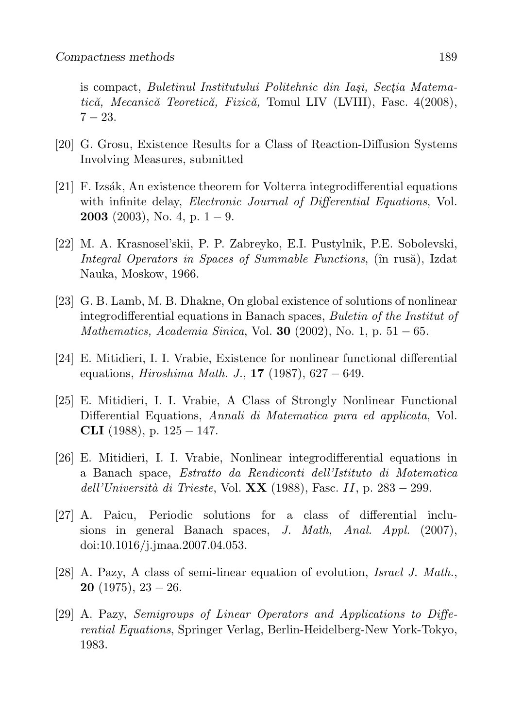is compact, Buletinul Institutului Politehnic din Iași, Sectia Matematică, Mecanică Teoretică, Fizică, Tomul LIV (LVIII), Fasc. 4(2008),  $7 - 23.$ 

- [20] G. Grosu, Existence Results for a Class of Reaction-Diffusion Systems Involving Measures, submitted
- $[21]$  F. Izsák, An existence theorem for Volterra integrodifferential equations with infinite delay, *Electronic Journal of Differential Equations*, Vol. **2003** (2003), No. 4, p.  $1 - 9$ .
- [22] M. A. Krasnosel'skii, P. P. Zabreyko, E.I. Pustylnik, P.E. Sobolevski, Integral Operators in Spaces of Summable Functions, (în rusă), Izdat Nauka, Moskow, 1966.
- [23] G. B. Lamb, M. B. Dhakne, On global existence of solutions of nonlinear integrodifferential equations in Banach spaces, Buletin of the Institut of *Mathematics, Academia Sinica*, Vol. **30** (2002), No. 1, p.  $51 - 65$ .
- [24] E. Mitidieri, I. I. Vrabie, Existence for nonlinear functional differential equations, *Hiroshima Math. J.*, **17** (1987),  $627 - 649$ .
- [25] E. Mitidieri, I. I. Vrabie, A Class of Strongly Nonlinear Functional Differential Equations, Annali di Matematica pura ed applicata, Vol. CLI  $(1988)$ , p.  $125 - 147$ .
- [26] E. Mitidieri, I. I. Vrabie, Nonlinear integrodifferential equations in a Banach space, Estratto da Rendiconti dell'Istituto di Matematica dell'Università di Trieste, Vol.  $\bf XX$  (1988), Fasc. II, p. 283 – 299.
- [27] A. Paicu, Periodic solutions for a class of differential inclusions in general Banach spaces, J. Math, Anal. Appl. (2007), doi:10.1016/j.jmaa.2007.04.053.
- [28] A. Pazy, A class of semi-linear equation of evolution, Israel J. Math., **20** (1975),  $23 - 26$ .
- [29] A. Pazy, Semigroups of Linear Operators and Applications to Differential Equations, Springer Verlag, Berlin-Heidelberg-New York-Tokyo, 1983.